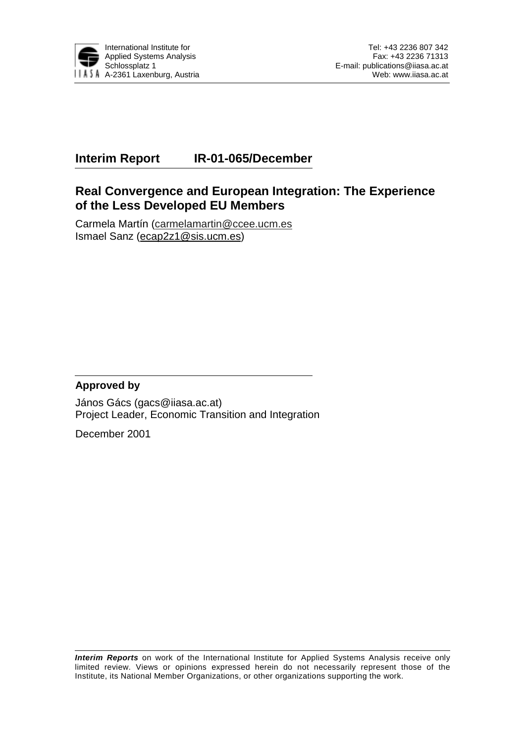

# **Interim Report IR-01-065/December**

# **Real Convergence and European Integration: The Experience of the Less Developed EU Members**

Carmela Martín (carmelamartin@ccee.ucm.es Ismael Sanz (ecap2z1@sis.ucm.es)

## **Approved by**

János Gács (gacs@iiasa.ac.at) Project Leader, Economic Transition and Integration

December 2001

**Interim Reports** on work of the International Institute for Applied Systems Analysis receive only limited review. Views or opinions expressed herein do not necessarily represent those of the Institute, its National Member Organizations, or other organizations supporting the work.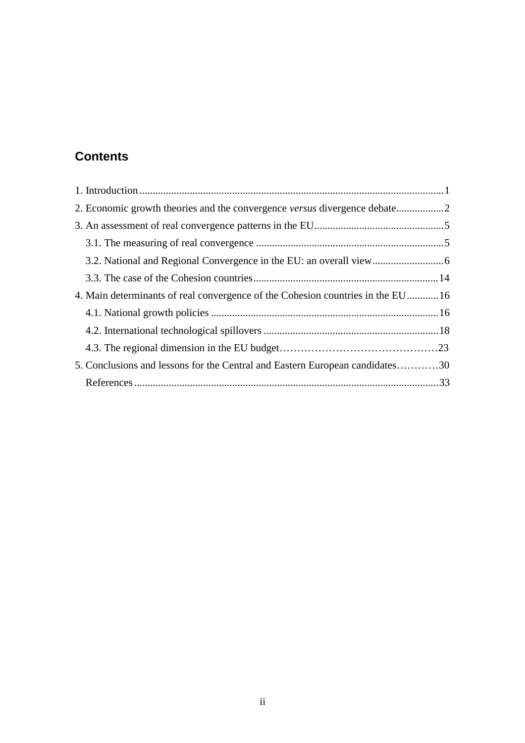# **Contents**

| 4. Main determinants of real convergence of the Cohesion countries in the EU16 |  |
|--------------------------------------------------------------------------------|--|
|                                                                                |  |
|                                                                                |  |
|                                                                                |  |
| 5. Conclusions and lessons for the Central and Eastern European candidates30   |  |
|                                                                                |  |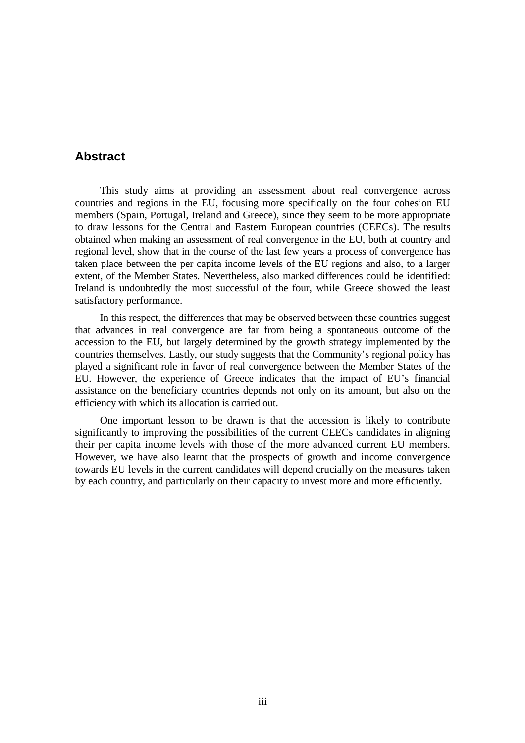## **Abstract**

 This study aims at providing an assessment about real convergence across countries and regions in the EU, focusing more specifically on the four cohesion EU members (Spain, Portugal, Ireland and Greece), since they seem to be more appropriate to draw lessons for the Central and Eastern European countries (CEECs). The results obtained when making an assessment of real convergence in the EU, both at country and regional level, show that in the course of the last few years a process of convergence has taken place between the per capita income levels of the EU regions and also, to a larger extent, of the Member States. Nevertheless, also marked differences could be identified: Ireland is undoubtedly the most successful of the four, while Greece showed the least satisfactory performance.

 In this respect, the differences that may be observed between these countries suggest that advances in real convergence are far from being a spontaneous outcome of the accession to the EU, but largely determined by the growth strategy implemented by the countries themselves. Lastly, our study suggests that the Community's regional policy has played a significant role in favor of real convergence between the Member States of the EU. However, the experience of Greece indicates that the impact of EU's financial assistance on the beneficiary countries depends not only on its amount, but also on the efficiency with which its allocation is carried out.

 One important lesson to be drawn is that the accession is likely to contribute significantly to improving the possibilities of the current CEECs candidates in aligning their per capita income levels with those of the more advanced current EU members. However, we have also learnt that the prospects of growth and income convergence towards EU levels in the current candidates will depend crucially on the measures taken by each country, and particularly on their capacity to invest more and more efficiently.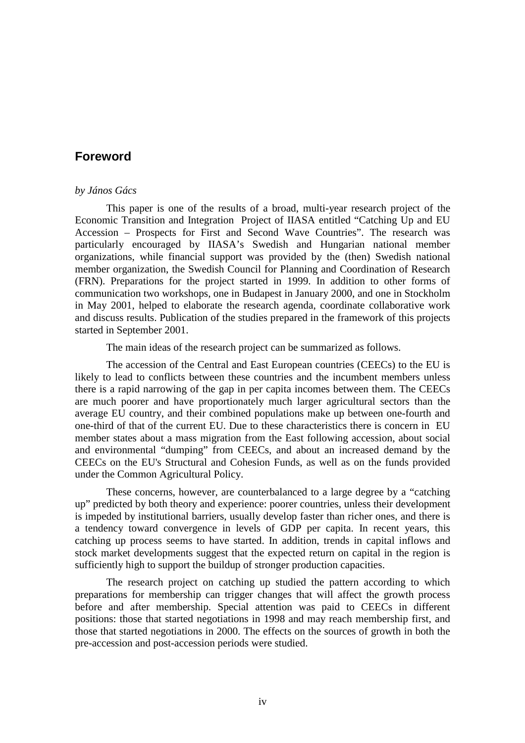## **Foreword**

#### *by János Gács*

This paper is one of the results of a broad, multi-year research project of the Economic Transition and Integration Project of IIASA entitled "Catching Up and EU Accession – Prospects for First and Second Wave Countries". The research was particularly encouraged by IIASA's Swedish and Hungarian national member organizations, while financial support was provided by the (then) Swedish national member organization, the Swedish Council for Planning and Coordination of Research (FRN). Preparations for the project started in 1999. In addition to other forms of communication two workshops, one in Budapest in January 2000, and one in Stockholm in May 2001, helped to elaborate the research agenda, coordinate collaborative work and discuss results. Publication of the studies prepared in the framework of this projects started in September 2001.

The main ideas of the research project can be summarized as follows.

The accession of the Central and East European countries (CEECs) to the EU is likely to lead to conflicts between these countries and the incumbent members unless there is a rapid narrowing of the gap in per capita incomes between them. The CEECs are much poorer and have proportionately much larger agricultural sectors than the average EU country, and their combined populations make up between one-fourth and one-third of that of the current EU. Due to these characteristics there is concern in EU member states about a mass migration from the East following accession, about social and environmental "dumping" from CEECs, and about an increased demand by the CEECs on the EU's Structural and Cohesion Funds, as well as on the funds provided under the Common Agricultural Policy.

These concerns, however, are counterbalanced to a large degree by a "catching up" predicted by both theory and experience: poorer countries, unless their development is impeded by institutional barriers, usually develop faster than richer ones, and there is a tendency toward convergence in levels of GDP per capita. In recent years, this catching up process seems to have started. In addition, trends in capital inflows and stock market developments suggest that the expected return on capital in the region is sufficiently high to support the buildup of stronger production capacities.

The research project on catching up studied the pattern according to which preparations for membership can trigger changes that will affect the growth process before and after membership. Special attention was paid to CEECs in different positions: those that started negotiations in 1998 and may reach membership first, and those that started negotiations in 2000. The effects on the sources of growth in both the pre-accession and post-accession periods were studied.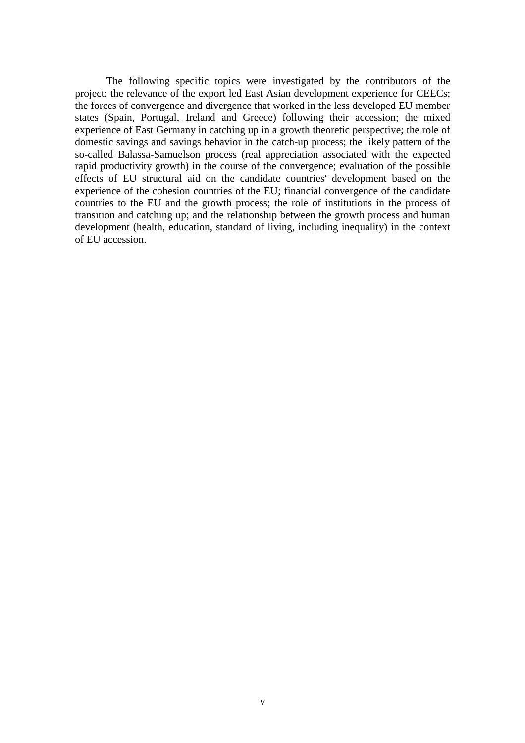The following specific topics were investigated by the contributors of the project: the relevance of the export led East Asian development experience for CEECs; the forces of convergence and divergence that worked in the less developed EU member states (Spain, Portugal, Ireland and Greece) following their accession; the mixed experience of East Germany in catching up in a growth theoretic perspective; the role of domestic savings and savings behavior in the catch-up process; the likely pattern of the so-called Balassa-Samuelson process (real appreciation associated with the expected rapid productivity growth) in the course of the convergence; evaluation of the possible effects of EU structural aid on the candidate countries' development based on the experience of the cohesion countries of the EU; financial convergence of the candidate countries to the EU and the growth process; the role of institutions in the process of transition and catching up; and the relationship between the growth process and human development (health, education, standard of living, including inequality) in the context of EU accession.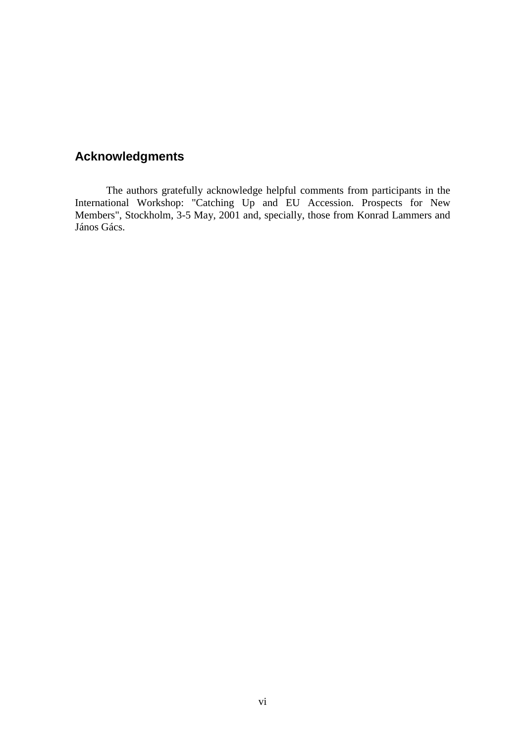# **Acknowledgments**

The authors gratefully acknowledge helpful comments from participants in the International Workshop: "Catching Up and EU Accession. Prospects for New Members", Stockholm, 3-5 May, 2001 and, specially, those from Konrad Lammers and János Gács.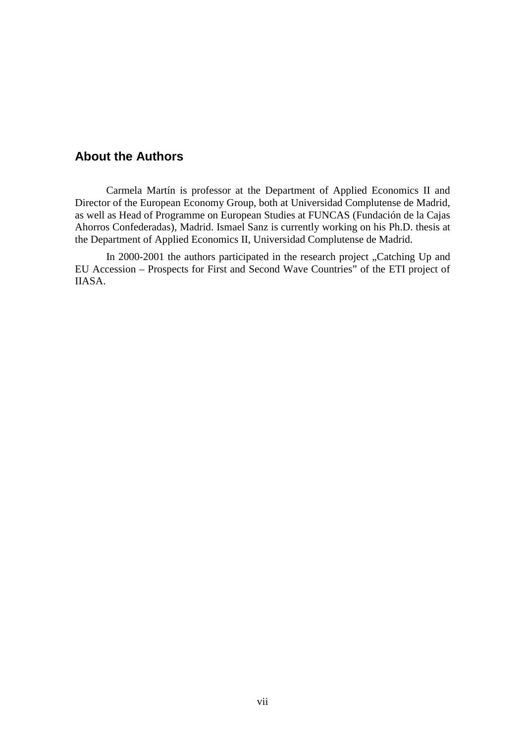# **About the Authors**

Carmela Martín is professor at the Department of Applied Economics II and Director of the European Economy Group, both at Universidad Complutense de Madrid, as well as Head of Programme on European Studies at FUNCAS (Fundación de la Cajas Ahorros Confederadas), Madrid. Ismael Sanz is currently working on his Ph.D. thesis at the Department of Applied Economics II, Universidad Complutense de Madrid.

In 2000-2001 the authors participated in the research project "Catching Up and EU Accession – Prospects for First and Second Wave Countries" of the ETI project of IIASA.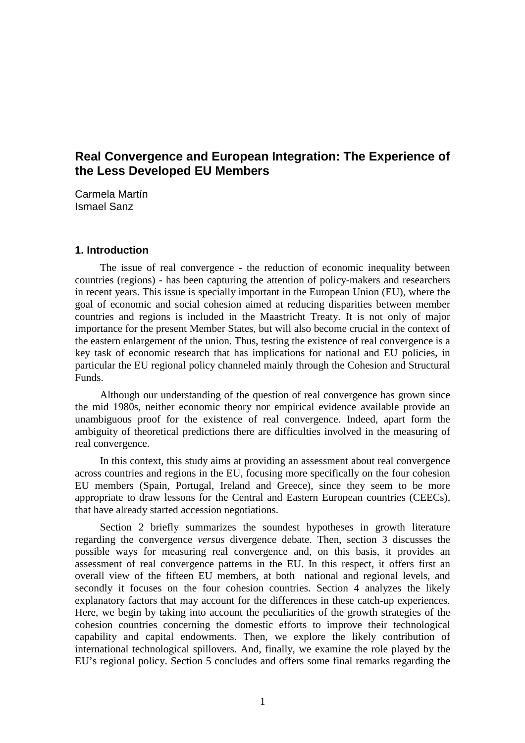# **Real Convergence and European Integration: The Experience of the Less Developed EU Members**

Carmela Martín Ismael Sanz

#### **1. Introduction**

 The issue of real convergence - the reduction of economic inequality between countries (regions) - has been capturing the attention of policy-makers and researchers in recent years. This issue is specially important in the European Union (EU), where the goal of economic and social cohesion aimed at reducing disparities between member countries and regions is included in the Maastricht Treaty. It is not only of major importance for the present Member States, but will also become crucial in the context of the eastern enlargement of the union. Thus, testing the existence of real convergence is a key task of economic research that has implications for national and EU policies, in particular the EU regional policy channeled mainly through the Cohesion and Structural Funds.

 Although our understanding of the question of real convergence has grown since the mid 1980s, neither economic theory nor empirical evidence available provide an unambiguous proof for the existence of real convergence. Indeed, apart form the ambiguity of theoretical predictions there are difficulties involved in the measuring of real convergence.

 In this context, this study aims at providing an assessment about real convergence across countries and regions in the EU, focusing more specifically on the four cohesion EU members (Spain, Portugal, Ireland and Greece), since they seem to be more appropriate to draw lessons for the Central and Eastern European countries (CEECs), that have already started accession negotiations.

 Section 2 briefly summarizes the soundest hypotheses in growth literature regarding the convergence *versus* divergence debate. Then, section 3 discusses the possible ways for measuring real convergence and, on this basis, it provides an assessment of real convergence patterns in the EU. In this respect, it offers first an overall view of the fifteen EU members, at both national and regional levels, and secondly it focuses on the four cohesion countries. Section 4 analyzes the likely explanatory factors that may account for the differences in these catch-up experiences. Here, we begin by taking into account the peculiarities of the growth strategies of the cohesion countries concerning the domestic efforts to improve their technological capability and capital endowments. Then, we explore the likely contribution of international technological spillovers. And, finally, we examine the role played by the EU's regional policy. Section 5 concludes and offers some final remarks regarding the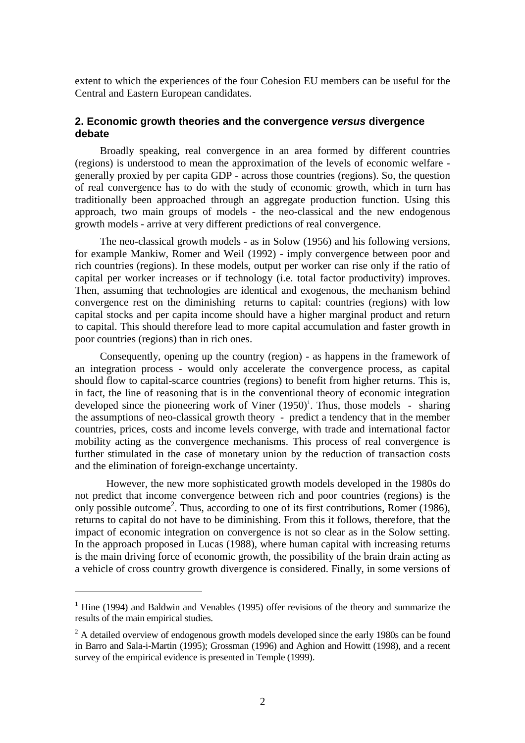extent to which the experiences of the four Cohesion EU members can be useful for the Central and Eastern European candidates.

### **2. Economic growth theories and the convergence versus divergence debate**

 Broadly speaking, real convergence in an area formed by different countries (regions) is understood to mean the approximation of the levels of economic welfare generally proxied by per capita GDP - across those countries (regions). So, the question of real convergence has to do with the study of economic growth, which in turn has traditionally been approached through an aggregate production function. Using this approach, two main groups of models - the neo-classical and the new endogenous growth models - arrive at very different predictions of real convergence.

 The neo-classical growth models - as in Solow (1956) and his following versions, for example Mankiw, Romer and Weil (1992) - imply convergence between poor and rich countries (regions). In these models, output per worker can rise only if the ratio of capital per worker increases or if technology (i.e. total factor productivity) improves. Then, assuming that technologies are identical and exogenous, the mechanism behind convergence rest on the diminishing returns to capital: countries (regions) with low capital stocks and per capita income should have a higher marginal product and return to capital. This should therefore lead to more capital accumulation and faster growth in poor countries (regions) than in rich ones.

 Consequently, opening up the country (region) - as happens in the framework of an integration process - would only accelerate the convergence process, as capital should flow to capital-scarce countries (regions) to benefit from higher returns. This is, in fact, the line of reasoning that is in the conventional theory of economic integration developed since the pioneering work of Viner  $(1950)^{1}$ . Thus, those models - sharing the assumptions of neo-classical growth theory - predict a tendency that in the member countries, prices, costs and income levels converge, with trade and international factor mobility acting as the convergence mechanisms. This process of real convergence is further stimulated in the case of monetary union by the reduction of transaction costs and the elimination of foreign-exchange uncertainty.

However, the new more sophisticated growth models developed in the 1980s do not predict that income convergence between rich and poor countries (regions) is the only possible outcome<sup>2</sup>. Thus, according to one of its first contributions, Romer (1986), returns to capital do not have to be diminishing. From this it follows, therefore, that the impact of economic integration on convergence is not so clear as in the Solow setting. In the approach proposed in Lucas (1988), where human capital with increasing returns is the main driving force of economic growth, the possibility of the brain drain acting as a vehicle of cross country growth divergence is considered. Finally, in some versions of

<sup>&</sup>lt;sup>1</sup> Hine (1994) and Baldwin and Venables (1995) offer revisions of the theory and summarize the results of the main empirical studies.

 $2^2$  A detailed overview of endogenous growth models developed since the early 1980s can be found in Barro and Sala-i-Martin (1995); Grossman (1996) and Aghion and Howitt (1998), and a recent survey of the empirical evidence is presented in Temple (1999).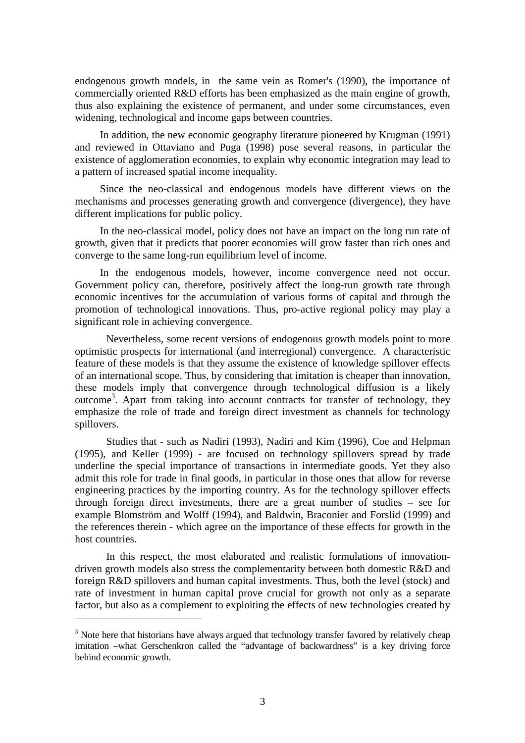endogenous growth models, in the same vein as Romer's (1990), the importance of commercially oriented R&D efforts has been emphasized as the main engine of growth, thus also explaining the existence of permanent, and under some circumstances, even widening, technological and income gaps between countries.

 In addition, the new economic geography literature pioneered by Krugman (1991) and reviewed in Ottaviano and Puga (1998) pose several reasons, in particular the existence of agglomeration economies, to explain why economic integration may lead to a pattern of increased spatial income inequality.

 Since the neo-classical and endogenous models have different views on the mechanisms and processes generating growth and convergence (divergence), they have different implications for public policy.

 In the neo-classical model, policy does not have an impact on the long run rate of growth, given that it predicts that poorer economies will grow faster than rich ones and converge to the same long-run equilibrium level of income.

 In the endogenous models, however, income convergence need not occur. Government policy can, therefore, positively affect the long-run growth rate through economic incentives for the accumulation of various forms of capital and through the promotion of technological innovations. Thus, pro-active regional policy may play a significant role in achieving convergence.

Nevertheless, some recent versions of endogenous growth models point to more optimistic prospects for international (and interregional) convergence. A characteristic feature of these models is that they assume the existence of knowledge spillover effects of an international scope. Thus, by considering that imitation is cheaper than innovation, these models imply that convergence through technological diffusion is a likely outcome3 . Apart from taking into account contracts for transfer of technology, they emphasize the role of trade and foreign direct investment as channels for technology spillovers.

Studies that - such as Nadiri (1993), Nadiri and Kim (1996), Coe and Helpman (1995), and Keller (1999) - are focused on technology spillovers spread by trade underline the special importance of transactions in intermediate goods. Yet they also admit this role for trade in final goods, in particular in those ones that allow for reverse engineering practices by the importing country. As for the technology spillover effects through foreign direct investments, there are a great number of studies – see for example Blomström and Wolff (1994), and Baldwin, Braconier and Forslid (1999) and the references therein - which agree on the importance of these effects for growth in the host countries.

In this respect, the most elaborated and realistic formulations of innovationdriven growth models also stress the complementarity between both domestic R&D and foreign R&D spillovers and human capital investments. Thus, both the level (stock) and rate of investment in human capital prove crucial for growth not only as a separate factor, but also as a complement to exploiting the effects of new technologies created by

<sup>&</sup>lt;sup>3</sup> Note here that historians have always argued that technology transfer favored by relatively cheap imitation –what Gerschenkron called the "advantage of backwardness" is a key driving force behind economic growth.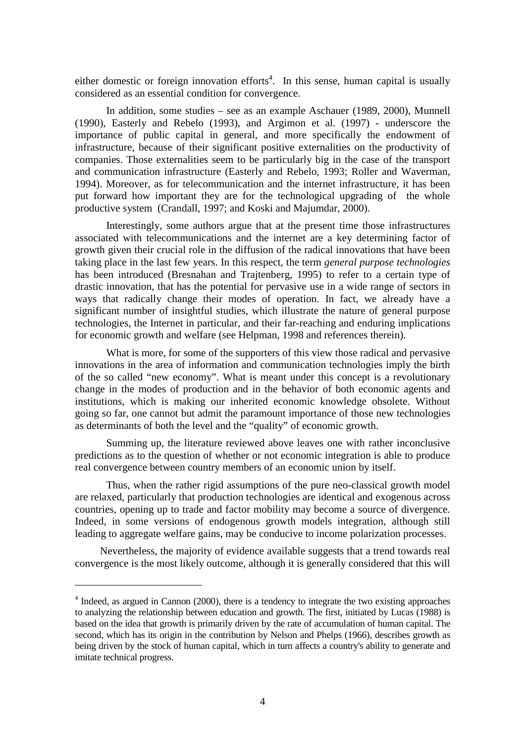either domestic or foreign innovation efforts<sup>4</sup>. In this sense, human capital is usually considered as an essential condition for convergence.

In addition, some studies – see as an example Aschauer (1989, 2000), Munnell (1990), Easterly and Rebelo (1993), and Argimon et al. (1997) - underscore the importance of public capital in general, and more specifically the endowment of infrastructure, because of their significant positive externalities on the productivity of companies. Those externalities seem to be particularly big in the case of the transport and communication infrastructure (Easterly and Rebelo, 1993; Roller and Waverman, 1994). Moreover, as for telecommunication and the internet infrastructure, it has been put forward how important they are for the technological upgrading of the whole productive system (Crandall, 1997; and Koski and Majumdar, 2000).

Interestingly, some authors argue that at the present time those infrastructures associated with telecommunications and the internet are a key determining factor of growth given their crucial role in the diffusion of the radical innovations that have been taking place in the last few years. In this respect, the term *general purpose technologies*  has been introduced (Bresnahan and Trajtenberg, 1995) to refer to a certain type of drastic innovation, that has the potential for pervasive use in a wide range of sectors in ways that radically change their modes of operation. In fact, we already have a significant number of insightful studies, which illustrate the nature of general purpose technologies, the Internet in particular, and their far-reaching and enduring implications for economic growth and welfare (see Helpman, 1998 and references therein).

What is more, for some of the supporters of this view those radical and pervasive innovations in the area of information and communication technologies imply the birth of the so called "new economy". What is meant under this concept is a revolutionary change in the modes of production and in the behavior of both economic agents and institutions, which is making our inherited economic knowledge obsolete. Without going so far, one cannot but admit the paramount importance of those new technologies as determinants of both the level and the "quality" of economic growth.

Summing up, the literature reviewed above leaves one with rather inconclusive predictions as to the question of whether or not economic integration is able to produce real convergence between country members of an economic union by itself.

Thus, when the rather rigid assumptions of the pure neo-classical growth model are relaxed, particularly that production technologies are identical and exogenous across countries, opening up to trade and factor mobility may become a source of divergence. Indeed, in some versions of endogenous growth models integration, although still leading to aggregate welfare gains, may be conducive to income polarization processes.

 Nevertheless, the majority of evidence available suggests that a trend towards real convergence is the most likely outcome, although it is generally considered that this will

<sup>&</sup>lt;sup>4</sup> Indeed, as argued in Cannon (2000), there is a tendency to integrate the two existing approaches to analyzing the relationship between education and growth. The first, initiated by Lucas (1988) is based on the idea that growth is primarily driven by the rate of accumulation of human capital. The second, which has its origin in the contribution by Nelson and Phelps (1966), describes growth as being driven by the stock of human capital, which in turn affects a country's ability to generate and imitate technical progress.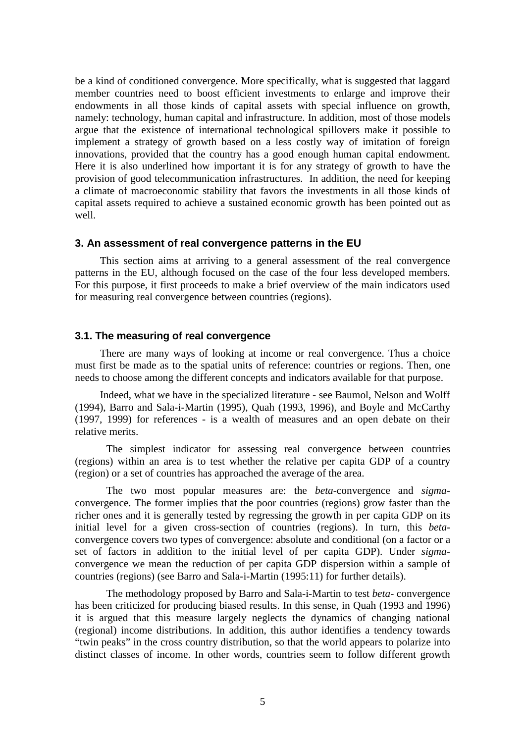be a kind of conditioned convergence. More specifically, what is suggested that laggard member countries need to boost efficient investments to enlarge and improve their endowments in all those kinds of capital assets with special influence on growth, namely: technology, human capital and infrastructure. In addition, most of those models argue that the existence of international technological spillovers make it possible to implement a strategy of growth based on a less costly way of imitation of foreign innovations, provided that the country has a good enough human capital endowment. Here it is also underlined how important it is for any strategy of growth to have the provision of good telecommunication infrastructures. In addition, the need for keeping a climate of macroeconomic stability that favors the investments in all those kinds of capital assets required to achieve a sustained economic growth has been pointed out as well.

#### **3. An assessment of real convergence patterns in the EU**

 This section aims at arriving to a general assessment of the real convergence patterns in the EU, although focused on the case of the four less developed members. For this purpose, it first proceeds to make a brief overview of the main indicators used for measuring real convergence between countries (regions).

### **3.1. The measuring of real convergence**

 There are many ways of looking at income or real convergence. Thus a choice must first be made as to the spatial units of reference: countries or regions. Then, one needs to choose among the different concepts and indicators available for that purpose.

 Indeed, what we have in the specialized literature - see Baumol, Nelson and Wolff (1994), Barro and Sala-i-Martin (1995), Quah (1993, 1996), and Boyle and McCarthy (1997, 1999) for references - is a wealth of measures and an open debate on their relative merits.

The simplest indicator for assessing real convergence between countries (regions) within an area is to test whether the relative per capita GDP of a country (region) or a set of countries has approached the average of the area.

The two most popular measures are: the *beta-*convergence and *sigma*convergence. The former implies that the poor countries (regions) grow faster than the richer ones and it is generally tested by regressing the growth in per capita GDP on its initial level for a given cross-section of countries (regions). In turn, this *beta*convergence covers two types of convergence: absolute and conditional (on a factor or a set of factors in addition to the initial level of per capita GDP). Under *sigma*convergence we mean the reduction of per capita GDP dispersion within a sample of countries (regions) (see Barro and Sala-i-Martin (1995:11) for further details).

The methodology proposed by Barro and Sala-i-Martin to test *beta-* convergence has been criticized for producing biased results. In this sense, in Quah (1993 and 1996) it is argued that this measure largely neglects the dynamics of changing national (regional) income distributions. In addition, this author identifies a tendency towards "twin peaks" in the cross country distribution, so that the world appears to polarize into distinct classes of income. In other words, countries seem to follow different growth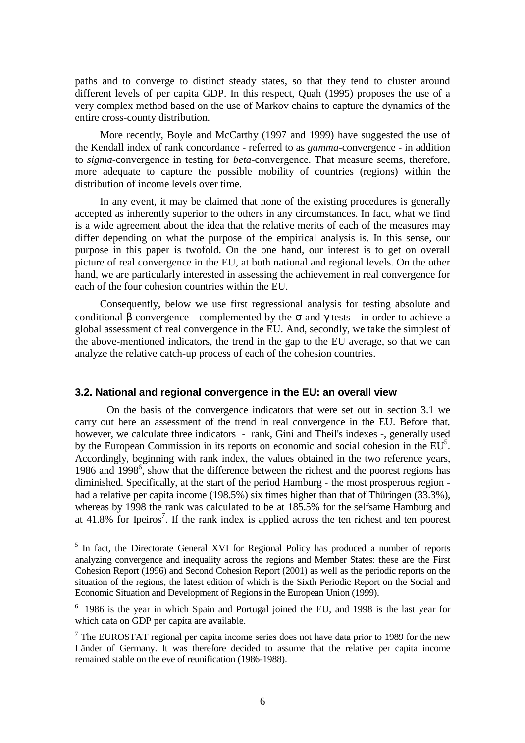paths and to converge to distinct steady states, so that they tend to cluster around different levels of per capita GDP. In this respect, Quah (1995) proposes the use of a very complex method based on the use of Markov chains to capture the dynamics of the entire cross-county distribution.

 More recently, Boyle and McCarthy (1997 and 1999) have suggested the use of the Kendall index of rank concordance - referred to as *gamma-*convergence - in addition to *sigma-*convergence in testing for *beta-*convergence. That measure seems, therefore, more adequate to capture the possible mobility of countries (regions) within the distribution of income levels over time.

 In any event, it may be claimed that none of the existing procedures is generally accepted as inherently superior to the others in any circumstances. In fact, what we find is a wide agreement about the idea that the relative merits of each of the measures may differ depending on what the purpose of the empirical analysis is. In this sense, our purpose in this paper is twofold. On the one hand, our interest is to get on overall picture of real convergence in the EU, at both national and regional levels. On the other hand, we are particularly interested in assessing the achievement in real convergence for each of the four cohesion countries within the EU.

 Consequently, below we use first regressional analysis for testing absolute and conditional β convergence - complemented by the  $\sigma$  and  $\gamma$  tests - in order to achieve a global assessment of real convergence in the EU. And, secondly, we take the simplest of the above-mentioned indicators, the trend in the gap to the EU average, so that we can analyze the relative catch-up process of each of the cohesion countries.

#### **3.2. National and regional convergence in the EU: an overall view**

 $\overline{a}$ 

 On the basis of the convergence indicators that were set out in section 3.1 we carry out here an assessment of the trend in real convergence in the EU. Before that, however, we calculate three indicators - rank, Gini and Theil's indexes -, generally used by the European Commission in its reports on economic and social cohesion in the  $EU<sup>5</sup>$ . Accordingly, beginning with rank index, the values obtained in the two reference years, 1986 and 1998<sup>6</sup>, show that the difference between the richest and the poorest regions has diminished. Specifically, at the start of the period Hamburg - the most prosperous region had a relative per capita income (198.5%) six times higher than that of Thüringen (33.3%), whereas by 1998 the rank was calculated to be at 185.5% for the selfsame Hamburg and at  $41.8\%$  for Ipeiros<sup>7</sup>. If the rank index is applied across the ten richest and ten poorest

<sup>&</sup>lt;sup>5</sup> In fact, the Directorate General XVI for Regional Policy has produced a number of reports analyzing convergence and inequality across the regions and Member States: these are the First Cohesion Report (1996) and Second Cohesion Report (2001) as well as the periodic reports on the situation of the regions, the latest edition of which is the Sixth Periodic Report on the Social and Economic Situation and Development of Regions in the European Union (1999).

<sup>6 1986</sup> is the year in which Spain and Portugal joined the EU, and 1998 is the last year for which data on GDP per capita are available.

 $<sup>7</sup>$  The EUROSTAT regional per capita income series does not have data prior to 1989 for the new</sup> Länder of Germany. It was therefore decided to assume that the relative per capita income remained stable on the eve of reunification (1986-1988).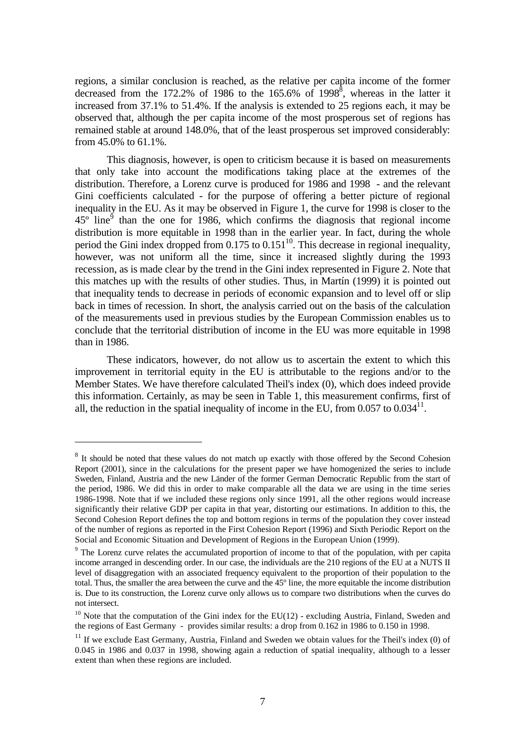regions, a similar conclusion is reached, as the relative per capita income of the former decreased from the 172.2% of 1986 to the 165.6% of 1998<sup>8</sup>, whereas in the latter it increased from 37.1% to 51.4%. If the analysis is extended to 25 regions each, it may be observed that, although the per capita income of the most prosperous set of regions has remained stable at around 148.0%, that of the least prosperous set improved considerably: from 45.0% to 61.1%.

 This diagnosis, however, is open to criticism because it is based on measurements that only take into account the modifications taking place at the extremes of the distribution. Therefore, a Lorenz curve is produced for 1986 and 1998 - and the relevant Gini coefficients calculated - for the purpose of offering a better picture of regional inequality in the EU. As it may be observed in Figure 1, the curve for 1998 is closer to the  $45^\circ$  line<sup>9</sup> than the one for 1986, which confirms the diagnosis that regional income distribution is more equitable in 1998 than in the earlier year. In fact, during the whole period the Gini index dropped from  $0.175$  to  $0.151^{10}$ . This decrease in regional inequality, however, was not uniform all the time, since it increased slightly during the 1993 recession, as is made clear by the trend in the Gini index represented in Figure 2. Note that this matches up with the results of other studies. Thus, in Martín (1999) it is pointed out that inequality tends to decrease in periods of economic expansion and to level off or slip back in times of recession. In short, the analysis carried out on the basis of the calculation of the measurements used in previous studies by the European Commission enables us to conclude that the territorial distribution of income in the EU was more equitable in 1998 than in 1986.

These indicators, however, do not allow us to ascertain the extent to which this improvement in territorial equity in the EU is attributable to the regions and/or to the Member States. We have therefore calculated Theil's index (0), which does indeed provide this information. Certainly, as may be seen in Table 1, this measurement confirms, first of all, the reduction in the spatial inequality of income in the EU, from 0.057 to  $0.034^{11}$ .

<sup>&</sup>lt;sup>8</sup> It should be noted that these values do not match up exactly with those offered by the Second Cohesion Report (2001), since in the calculations for the present paper we have homogenized the series to include Sweden, Finland, Austria and the new Länder of the former German Democratic Republic from the start of the period, 1986. We did this in order to make comparable all the data we are using in the time series 1986-1998. Note that if we included these regions only since 1991, all the other regions would increase significantly their relative GDP per capita in that year, distorting our estimations. In addition to this, the Second Cohesion Report defines the top and bottom regions in terms of the population they cover instead of the number of regions as reported in the First Cohesion Report (1996) and Sixth Periodic Report on the Social and Economic Situation and Development of Regions in the European Union (1999).

<sup>&</sup>lt;sup>9</sup> The Lorenz curve relates the accumulated proportion of income to that of the population, with per capita income arranged in descending order. In our case, the individuals are the 210 regions of the EU at a NUTS II level of disaggregation with an associated frequency equivalent to the proportion of their population to the total. Thus, the smaller the area between the curve and the 45º line, the more equitable the income distribution is. Due to its construction, the Lorenz curve only allows us to compare two distributions when the curves do not intersect.

<sup>&</sup>lt;sup>10</sup> Note that the computation of the Gini index for the EU(12) - excluding Austria, Finland, Sweden and the regions of East Germany - provides similar results: a drop from 0.162 in 1986 to 0.150 in 1998.

 $11$  If we exclude East Germany, Austria, Finland and Sweden we obtain values for the Theil's index (0) of 0.045 in 1986 and 0.037 in 1998, showing again a reduction of spatial inequality, although to a lesser extent than when these regions are included.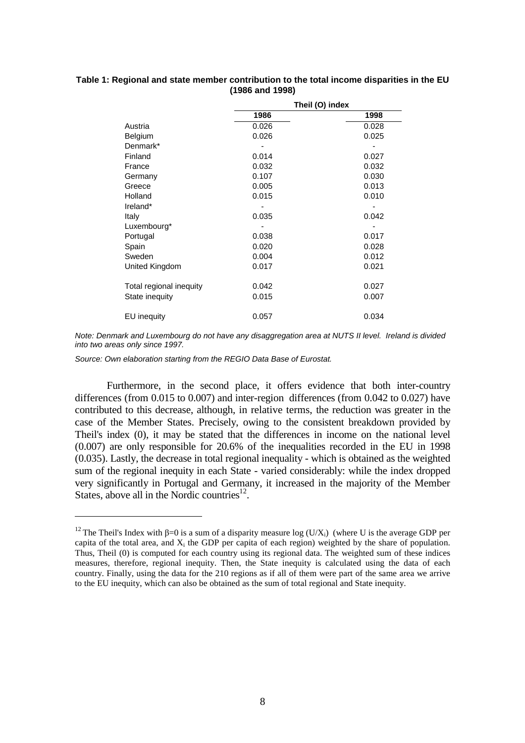#### **Table 1: Regional and state member contribution to the total income disparities in the EU (1986 and 1998)**

|                         |       | Theil (O) index |
|-------------------------|-------|-----------------|
|                         | 1986  | 1998            |
| Austria                 | 0.026 | 0.028           |
| Belgium                 | 0.026 | 0.025           |
| Denmark*                |       |                 |
| Finland                 | 0.014 | 0.027           |
| France                  | 0.032 | 0.032           |
| Germany                 | 0.107 | 0.030           |
| Greece                  | 0.005 | 0.013           |
| Holland                 | 0.015 | 0.010           |
| Ireland*                |       |                 |
| Italy                   | 0.035 | 0.042           |
| Luxembourg*             |       |                 |
| Portugal                | 0.038 | 0.017           |
| Spain                   | 0.020 | 0.028           |
| Sweden                  | 0.004 | 0.012           |
| United Kingdom          | 0.017 | 0.021           |
| Total regional inequity | 0.042 | 0.027           |
| State inequity          | 0.015 | 0.007           |
| EU inequity             | 0.057 | 0.034           |

Note: Denmark and Luxembourg do not have any disaggregation area at NUTS II level. Ireland is divided into two areas only since 1997.

Source: Own elaboration starting from the REGIO Data Base of Eurostat.

 $\overline{a}$ 

Furthermore, in the second place, it offers evidence that both inter-country differences (from 0.015 to 0.007) and inter-region differences (from 0.042 to 0.027) have contributed to this decrease, although, in relative terms, the reduction was greater in the case of the Member States. Precisely, owing to the consistent breakdown provided by Theil's index (0), it may be stated that the differences in income on the national level (0.007) are only responsible for 20.6% of the inequalities recorded in the EU in 1998 (0.035). Lastly, the decrease in total regional inequality - which is obtained as the weighted sum of the regional inequity in each State - varied considerably: while the index dropped very significantly in Portugal and Germany, it increased in the majority of the Member States, above all in the Nordic countries $^{12}$ .

<sup>&</sup>lt;sup>12</sup> The Theil's Index with β=0 is a sum of a disparity measure log (U/X<sub>i</sub>) (where U is the average GDP per capita of the total area, and  $X_i$  the GDP per capita of each region) weighted by the share of population. Thus, Theil (0) is computed for each country using its regional data. The weighted sum of these indices measures, therefore, regional inequity. Then, the State inequity is calculated using the data of each country. Finally, using the data for the 210 regions as if all of them were part of the same area we arrive to the EU inequity, which can also be obtained as the sum of total regional and State inequity.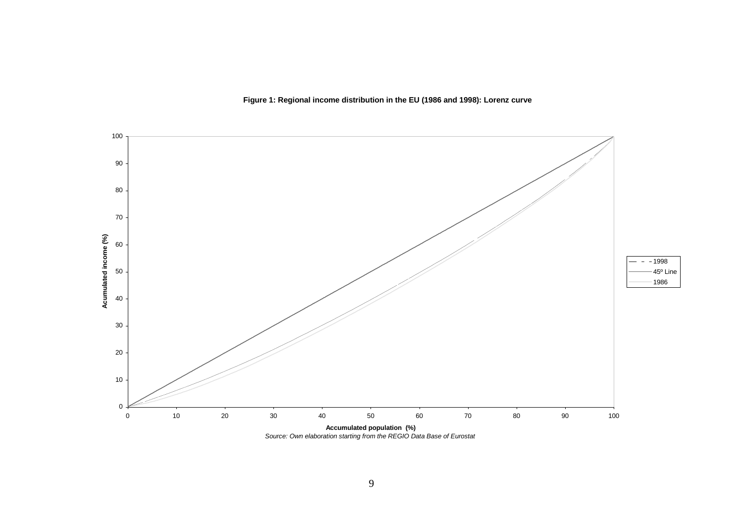**Figure 1: Regional income distribution in the EU (1986 and 1998): Lorenz curve**

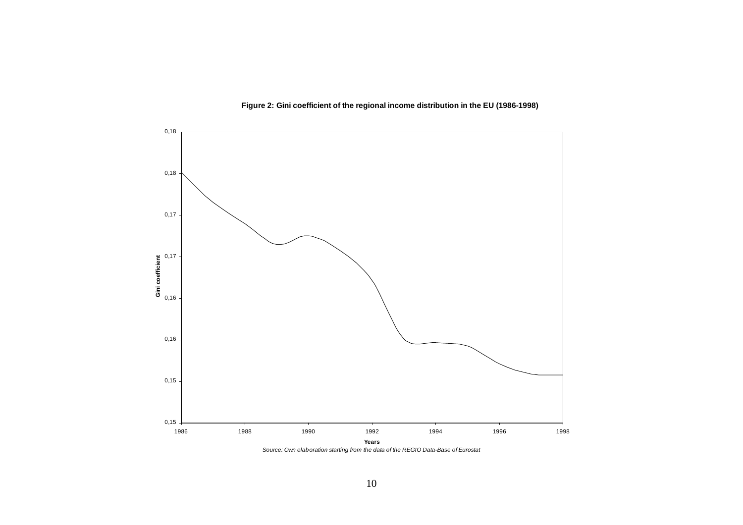

**Figure 2: Gini coefficient of the regional income distribution in the EU (1986-1998)**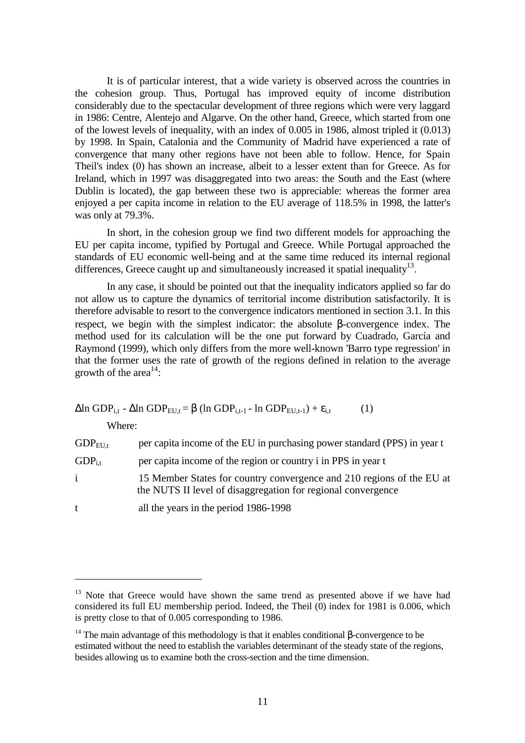It is of particular interest, that a wide variety is observed across the countries in the cohesion group. Thus, Portugal has improved equity of income distribution considerably due to the spectacular development of three regions which were very laggard in 1986: Centre, Alentejo and Algarve. On the other hand, Greece, which started from one of the lowest levels of inequality, with an index of 0.005 in 1986, almost tripled it (0.013) by 1998. In Spain, Catalonia and the Community of Madrid have experienced a rate of convergence that many other regions have not been able to follow. Hence, for Spain Theil's index (0) has shown an increase, albeit to a lesser extent than for Greece. As for Ireland, which in 1997 was disaggregated into two areas: the South and the East (where Dublin is located), the gap between these two is appreciable: whereas the former area enjoyed a per capita income in relation to the EU average of 118.5% in 1998, the latter's was only at 79.3%.

 In short, in the cohesion group we find two different models for approaching the EU per capita income, typified by Portugal and Greece. While Portugal approached the standards of EU economic well-being and at the same time reduced its internal regional differences, Greece caught up and simultaneously increased it spatial inequality<sup>13</sup>.

 In any case, it should be pointed out that the inequality indicators applied so far do not allow us to capture the dynamics of territorial income distribution satisfactorily. It is therefore advisable to resort to the convergence indicators mentioned in section 3.1. In this respect, we begin with the simplest indicator: the absolute β-convergence index. The method used for its calculation will be the one put forward by Cuadrado, García and Raymond (1999), which only differs from the more well-known 'Barro type regression' in that the former uses the rate of growth of the regions defined in relation to the average growth of the area<sup>14</sup>:

#### $\Delta$ ln GDP<sub>i,t</sub> -  $\Delta$ ln GDP<sub>EU,t</sub> = β (ln GDP<sub>i,t-1</sub> - ln GDP<sub>EU,t-1</sub>) +  $\varepsilon$ <sub>i,t</sub> (1)

Where:

 $\overline{a}$ 

 $GDP<sub>FUL</sub>$  per capita income of the EU in purchasing power standard (PPS) in year t

 $GDP_{it}$  per capita income of the region or country i in PPS in year t

i 15 Member States for country convergence and 210 regions of the EU at the NUTS II level of disaggregation for regional convergence

t all the years in the period 1986-1998

<sup>&</sup>lt;sup>13</sup> Note that Greece would have shown the same trend as presented above if we have had considered its full EU membership period. Indeed, the Theil  $(0)$  index for 1981 is 0.006, which is pretty close to that of 0.005 corresponding to 1986.

 $14$  The main advantage of this methodology is that it enables conditional β-convergence to be estimated without the need to establish the variables determinant of the steady state of the regions, besides allowing us to examine both the cross-section and the time dimension.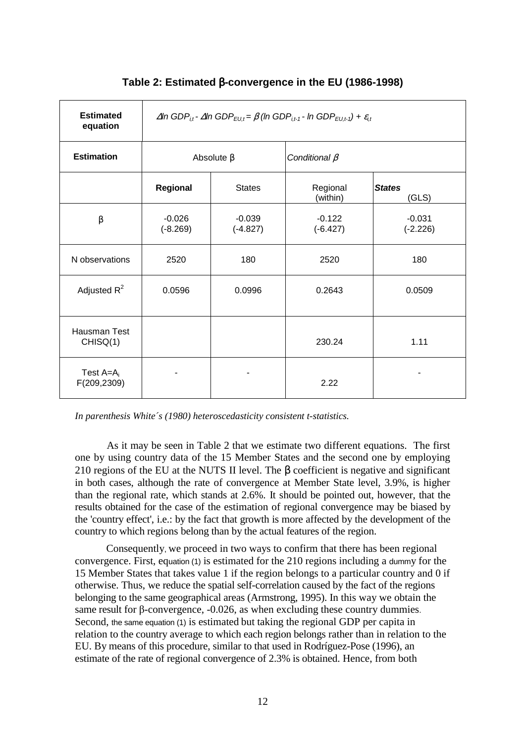| <b>Estimated</b><br>equation |                        |                        | $\triangle$ In GDP <sub>it</sub> - $\triangle$ In GDP <sub>EUt</sub> = $\beta$ (In GDP <sub>it-1</sub> - In GDP <sub>EUt-1</sub> ) + $\varepsilon$ <sub>it</sub> |                        |
|------------------------------|------------------------|------------------------|------------------------------------------------------------------------------------------------------------------------------------------------------------------|------------------------|
| <b>Estimation</b>            |                        | Absolute $\beta$       | Conditional $\beta$                                                                                                                                              |                        |
|                              | Regional               | <b>States</b>          | Regional<br>(within)                                                                                                                                             | <b>States</b><br>(GLS) |
| $\beta$                      | $-0.026$<br>$(-8.269)$ | $-0.039$<br>$(-4.827)$ | $-0.122$<br>$(-6.427)$                                                                                                                                           | $-0.031$<br>$(-2.226)$ |
| N observations               | 2520                   | 180                    | 2520                                                                                                                                                             | 180                    |
| Adjusted $R^2$               | 0.0596                 | 0.0996                 | 0.2643                                                                                                                                                           | 0.0509                 |
| Hausman Test<br>CHISQ(1)     |                        |                        | 230.24                                                                                                                                                           | 1.11                   |
| Test $A=A_i$<br>F(209,2309)  |                        |                        | 2.22                                                                                                                                                             |                        |

## **Table 2: Estimated** β**-convergence in the EU (1986-1998)**

*In parenthesis White´s (1980) heteroscedasticity consistent t-statistics.* 

 As it may be seen in Table 2 that we estimate two different equations. The first one by using country data of the 15 Member States and the second one by employing 210 regions of the EU at the NUTS II level. The β coefficient is negative and significant in both cases, although the rate of convergence at Member State level, 3.9%, is higher than the regional rate, which stands at 2.6%. It should be pointed out, however, that the results obtained for the case of the estimation of regional convergence may be biased by the 'country effect', i.e.: by the fact that growth is more affected by the development of the country to which regions belong than by the actual features of the region.

Consequently, we proceed in two ways to confirm that there has been regional convergence. First, equation (1) is estimated for the 210 regions including a dummy for the 15 Member States that takes value 1 if the region belongs to a particular country and 0 if otherwise. Thus, we reduce the spatial self-correlation caused by the fact of the regions belonging to the same geographical areas (Armstrong, 1995). In this way we obtain the same result for β-convergence, -0.026, as when excluding these country dummies. Second, the same equation (1) is estimated but taking the regional GDP per capita in relation to the country average to which each region belongs rather than in relation to the EU. By means of this procedure, similar to that used in Rodríguez-Pose (1996), an estimate of the rate of regional convergence of 2.3% is obtained. Hence, from both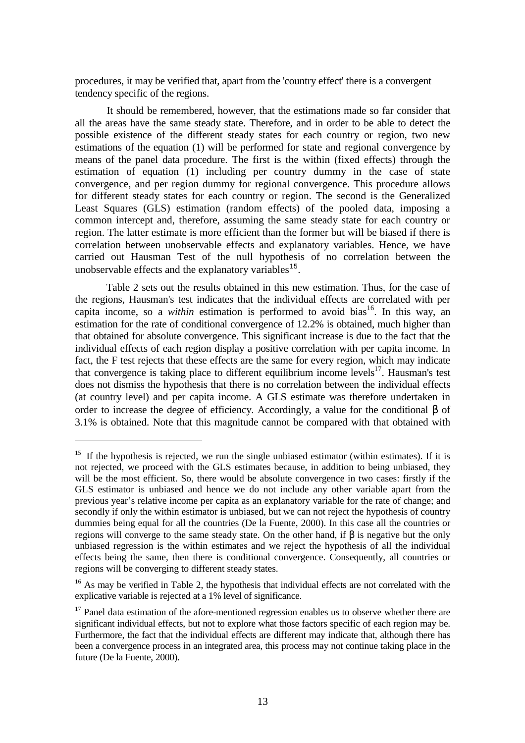procedures, it may be verified that, apart from the 'country effect' there is a convergent tendency specific of the regions.

 It should be remembered, however, that the estimations made so far consider that all the areas have the same steady state. Therefore, and in order to be able to detect the possible existence of the different steady states for each country or region, two new estimations of the equation (1) will be performed for state and regional convergence by means of the panel data procedure. The first is the within (fixed effects) through the estimation of equation (1) including per country dummy in the case of state convergence, and per region dummy for regional convergence. This procedure allows for different steady states for each country or region. The second is the Generalized Least Squares (GLS) estimation (random effects) of the pooled data, imposing a common intercept and, therefore, assuming the same steady state for each country or region. The latter estimate is more efficient than the former but will be biased if there is correlation between unobservable effects and explanatory variables. Hence, we have carried out Hausman Test of the null hypothesis of no correlation between the unobservable effects and the explanatory variables<sup>15</sup>.

Table 2 sets out the results obtained in this new estimation. Thus, for the case of the regions, Hausman's test indicates that the individual effects are correlated with per capita income, so a *within* estimation is performed to avoid bias<sup>16</sup>. In this way, an estimation for the rate of conditional convergence of 12.2% is obtained, much higher than that obtained for absolute convergence. This significant increase is due to the fact that the individual effects of each region display a positive correlation with per capita income. In fact, the F test rejects that these effects are the same for every region, which may indicate that convergence is taking place to different equilibrium income levels $17$ . Hausman's test does not dismiss the hypothesis that there is no correlation between the individual effects (at country level) and per capita income. A GLS estimate was therefore undertaken in order to increase the degree of efficiency. Accordingly, a value for the conditional  $\beta$  of 3.1% is obtained. Note that this magnitude cannot be compared with that obtained with

 $15$  If the hypothesis is rejected, we run the single unbiased estimator (within estimates). If it is not rejected, we proceed with the GLS estimates because, in addition to being unbiased, they will be the most efficient. So, there would be absolute convergence in two cases: firstly if the GLS estimator is unbiased and hence we do not include any other variable apart from the previous year's relative income per capita as an explanatory variable for the rate of change; and secondly if only the within estimator is unbiased, but we can not reject the hypothesis of country dummies being equal for all the countries (De la Fuente, 2000). In this case all the countries or regions will converge to the same steady state. On the other hand, if β is negative but the only unbiased regression is the within estimates and we reject the hypothesis of all the individual effects being the same, then there is conditional convergence. Consequently, all countries or regions will be converging to different steady states.

<sup>&</sup>lt;sup>16</sup> As may be verified in Table 2, the hypothesis that individual effects are not correlated with the explicative variable is rejected at a 1% level of significance.

 $17$  Panel data estimation of the afore-mentioned regression enables us to observe whether there are significant individual effects, but not to explore what those factors specific of each region may be. Furthermore, the fact that the individual effects are different may indicate that, although there has been a convergence process in an integrated area, this process may not continue taking place in the future (De la Fuente, 2000).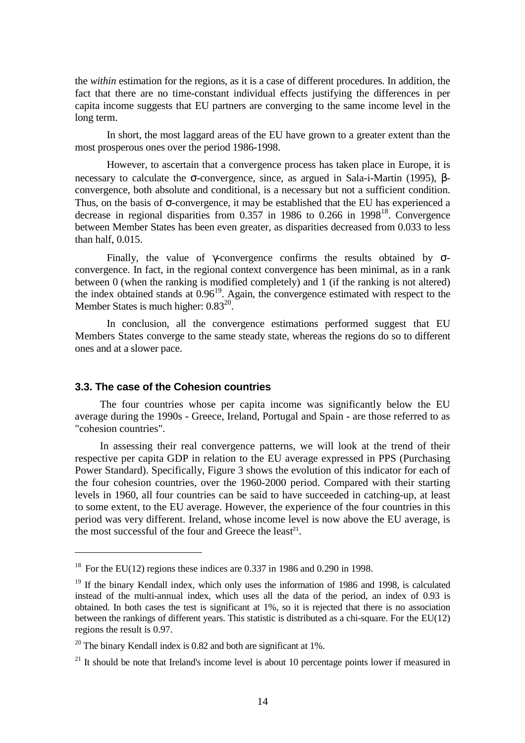the *within* estimation for the regions, as it is a case of different procedures. In addition, the fact that there are no time-constant individual effects justifying the differences in per capita income suggests that EU partners are converging to the same income level in the long term.

 In short, the most laggard areas of the EU have grown to a greater extent than the most prosperous ones over the period 1986-1998.

 However, to ascertain that a convergence process has taken place in Europe, it is necessary to calculate the σ-convergence, since, as argued in Sala-i-Martin (1995), βconvergence, both absolute and conditional, is a necessary but not a sufficient condition. Thus, on the basis of σ-convergence, it may be established that the EU has experienced a decrease in regional disparities from  $0.357$  in 1986 to  $0.266$  in 1998<sup>18</sup>. Convergence between Member States has been even greater, as disparities decreased from 0.033 to less than half, 0.015.

Finally, the value of  $\gamma$ -convergence confirms the results obtained by  $\sigma$ convergence. In fact, in the regional context convergence has been minimal, as in a rank between 0 (when the ranking is modified completely) and 1 (if the ranking is not altered) the index obtained stands at  $0.96^{19}$ . Again, the convergence estimated with respect to the Member States is much higher:  $0.83^{20}$ .

 In conclusion, all the convergence estimations performed suggest that EU Members States converge to the same steady state, whereas the regions do so to different ones and at a slower pace.

#### **3.3. The case of the Cohesion countries**

 $\overline{a}$ 

 The four countries whose per capita income was significantly below the EU average during the 1990s - Greece, Ireland, Portugal and Spain - are those referred to as "cohesion countries".

 In assessing their real convergence patterns, we will look at the trend of their respective per capita GDP in relation to the EU average expressed in PPS (Purchasing Power Standard). Specifically, Figure 3 shows the evolution of this indicator for each of the four cohesion countries, over the 1960-2000 period. Compared with their starting levels in 1960, all four countries can be said to have succeeded in catching-up, at least to some extent, to the EU average. However, the experience of the four countries in this period was very different. Ireland, whose income level is now above the EU average, is the most successful of the four and Greece the least<sup>21</sup>.

<sup>&</sup>lt;sup>18</sup> For the EU(12) regions these indices are 0.337 in 1986 and 0.290 in 1998.

 $19$  If the binary Kendall index, which only uses the information of 1986 and 1998, is calculated instead of the multi-annual index, which uses all the data of the period, an index of 0.93 is obtained. In both cases the test is significant at 1%, so it is rejected that there is no association between the rankings of different years. This statistic is distributed as a chi-square. For the EU(12) regions the result is 0.97.

 $20$  The binary Kendall index is 0.82 and both are significant at 1%.

 $21$  It should be note that Ireland's income level is about 10 percentage points lower if measured in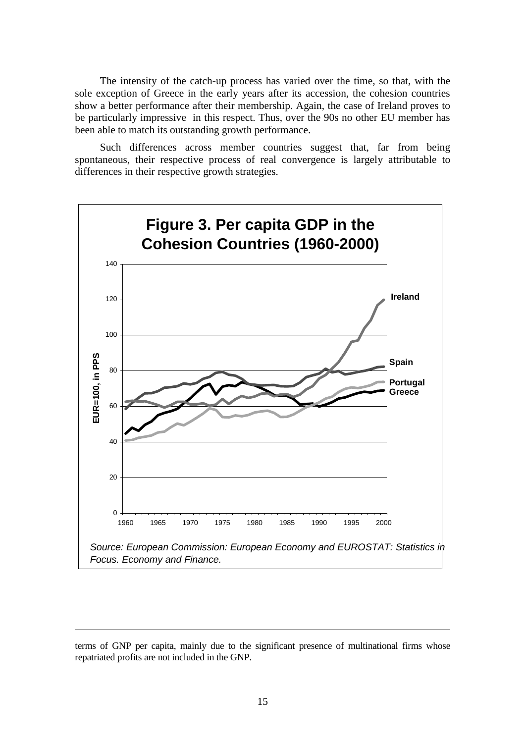The intensity of the catch-up process has varied over the time, so that, with the sole exception of Greece in the early years after its accession, the cohesion countries show a better performance after their membership. Again, the case of Ireland proves to be particularly impressive in this respect. Thus, over the 90s no other EU member has been able to match its outstanding growth performance.

 Such differences across member countries suggest that, far from being spontaneous, their respective process of real convergence is largely attributable to differences in their respective growth strategies.



terms of GNP per capita, mainly due to the significant presence of multinational firms whose repatriated profits are not included in the GNP.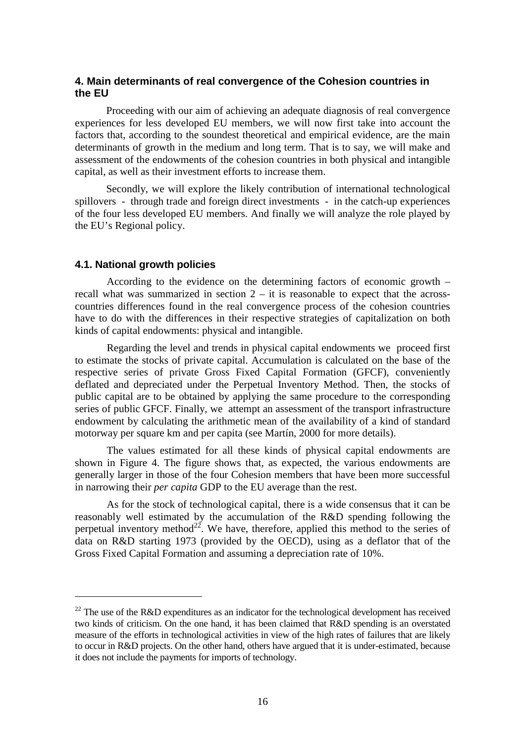### **4. Main determinants of real convergence of the Cohesion countries in the EU**

Proceeding with our aim of achieving an adequate diagnosis of real convergence experiences for less developed EU members, we will now first take into account the factors that, according to the soundest theoretical and empirical evidence, are the main determinants of growth in the medium and long term. That is to say, we will make and assessment of the endowments of the cohesion countries in both physical and intangible capital, as well as their investment efforts to increase them.

Secondly, we will explore the likely contribution of international technological spillovers - through trade and foreign direct investments - in the catch-up experiences of the four less developed EU members. And finally we will analyze the role played by the EU's Regional policy.

#### **4.1. National growth policies**

 $\overline{a}$ 

 According to the evidence on the determining factors of economic growth – recall what was summarized in section  $2 - it$  is reasonable to expect that the acrosscountries differences found in the real convergence process of the cohesion countries have to do with the differences in their respective strategies of capitalization on both kinds of capital endowments: physical and intangible.

 Regarding the level and trends in physical capital endowments we proceed first to estimate the stocks of private capital. Accumulation is calculated on the base of the respective series of private Gross Fixed Capital Formation (GFCF), conveniently deflated and depreciated under the Perpetual Inventory Method. Then, the stocks of public capital are to be obtained by applying the same procedure to the corresponding series of public GFCF. Finally, we attempt an assessment of the transport infrastructure endowment by calculating the arithmetic mean of the availability of a kind of standard motorway per square km and per capita (see Martín, 2000 for more details).

 The values estimated for all these kinds of physical capital endowments are shown in Figure 4. The figure shows that, as expected, the various endowments are generally larger in those of the four Cohesion members that have been more successful in narrowing their *per capita* GDP to the EU average than the rest.

 As for the stock of technological capital, there is a wide consensus that it can be reasonably well estimated by the accumulation of the R&D spending following the perpetual inventory method<sup>22</sup>. We have, therefore, applied this method to the series of data on R&D starting 1973 (provided by the OECD), using as a deflator that of the Gross Fixed Capital Formation and assuming a depreciation rate of 10%.

 $^{22}$  The use of the R&D expenditures as an indicator for the technological development has received two kinds of criticism. On the one hand, it has been claimed that R&D spending is an overstated measure of the efforts in technological activities in view of the high rates of failures that are likely to occur in R&D projects. On the other hand, others have argued that it is under-estimated, because it does not include the payments for imports of technology.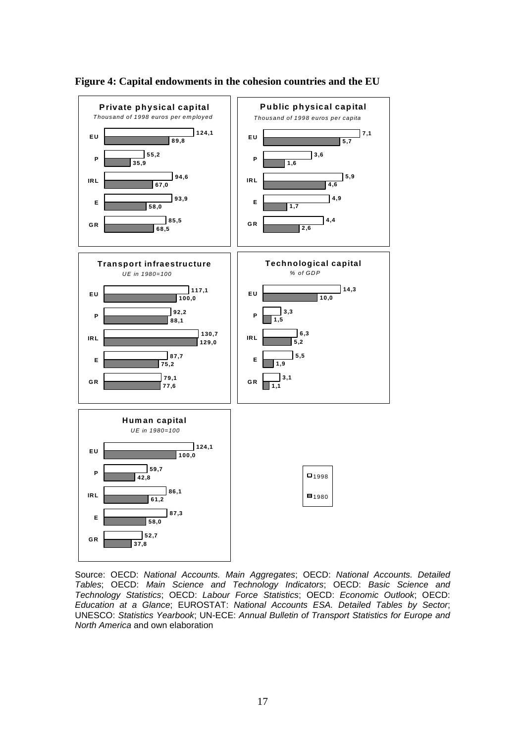

**Figure 4: Capital endowments in the cohesion countries and the EU** 

Source: OECD: National Accounts. Main Aggregates; OECD: National Accounts. Detailed Tables; OECD: Main Science and Technology Indicators; OECD: Basic Science and Technology Statistics; OECD: Labour Force Statistics; OECD: Economic Outlook; OECD: Education at a Glance; EUROSTAT: National Accounts ESA. Detailed Tables by Sector; UNESCO: Statistics Yearbook; UN-ECE: Annual Bulletin of Transport Statistics for Europe and North America and own elaboration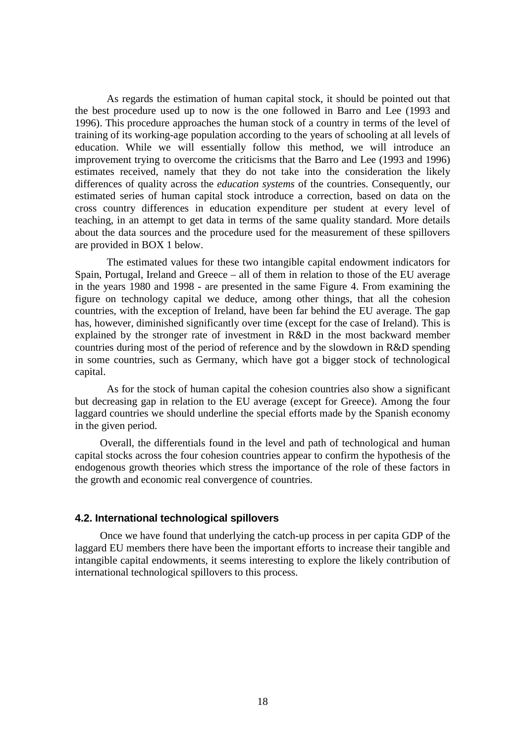As regards the estimation of human capital stock, it should be pointed out that the best procedure used up to now is the one followed in Barro and Lee (1993 and 1996). This procedure approaches the human stock of a country in terms of the level of training of its working-age population according to the years of schooling at all levels of education. While we will essentially follow this method, we will introduce an improvement trying to overcome the criticisms that the Barro and Lee (1993 and 1996) estimates received, namely that they do not take into the consideration the likely differences of quality across the *education systems* of the countries. Consequently, our estimated series of human capital stock introduce a correction, based on data on the cross country differences in education expenditure per student at every level of teaching, in an attempt to get data in terms of the same quality standard. More details about the data sources and the procedure used for the measurement of these spillovers are provided in BOX 1 below.

 The estimated values for these two intangible capital endowment indicators for Spain, Portugal, Ireland and Greece – all of them in relation to those of the EU average in the years 1980 and 1998 - are presented in the same Figure 4. From examining the figure on technology capital we deduce, among other things, that all the cohesion countries, with the exception of Ireland, have been far behind the EU average. The gap has, however, diminished significantly over time (except for the case of Ireland). This is explained by the stronger rate of investment in R&D in the most backward member countries during most of the period of reference and by the slowdown in R&D spending in some countries, such as Germany, which have got a bigger stock of technological capital.

 As for the stock of human capital the cohesion countries also show a significant but decreasing gap in relation to the EU average (except for Greece). Among the four laggard countries we should underline the special efforts made by the Spanish economy in the given period.

 Overall, the differentials found in the level and path of technological and human capital stocks across the four cohesion countries appear to confirm the hypothesis of the endogenous growth theories which stress the importance of the role of these factors in the growth and economic real convergence of countries.

#### **4.2. International technological spillovers**

 Once we have found that underlying the catch-up process in per capita GDP of the laggard EU members there have been the important efforts to increase their tangible and intangible capital endowments, it seems interesting to explore the likely contribution of international technological spillovers to this process.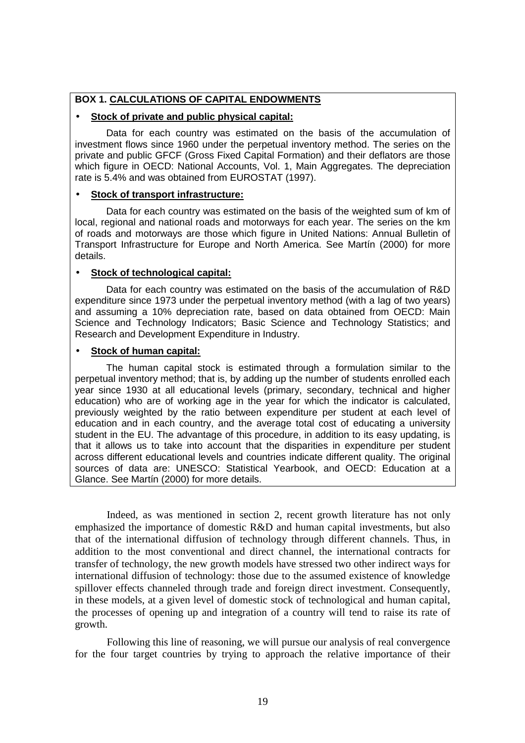### **BOX 1. CALCULATIONS OF CAPITAL ENDOWMENTS**

### • **Stock of private and public physical capital:**

Data for each country was estimated on the basis of the accumulation of investment flows since 1960 under the perpetual inventory method. The series on the private and public GFCF (Gross Fixed Capital Formation) and their deflators are those which figure in OECD: National Accounts, Vol. 1, Main Aggregates. The depreciation rate is 5.4% and was obtained from EUROSTAT (1997).

### • **Stock of transport infrastructure:**

Data for each country was estimated on the basis of the weighted sum of km of local, regional and national roads and motorways for each year. The series on the km of roads and motorways are those which figure in United Nations: Annual Bulletin of Transport Infrastructure for Europe and North America. See Martín (2000) for more details.

### • **Stock of technological capital:**

Data for each country was estimated on the basis of the accumulation of R&D expenditure since 1973 under the perpetual inventory method (with a lag of two years) and assuming a 10% depreciation rate, based on data obtained from OECD: Main Science and Technology Indicators; Basic Science and Technology Statistics; and Research and Development Expenditure in Industry.

### • **Stock of human capital:**

The human capital stock is estimated through a formulation similar to the perpetual inventory method; that is, by adding up the number of students enrolled each year since 1930 at all educational levels (primary, secondary, technical and higher education) who are of working age in the year for which the indicator is calculated, previously weighted by the ratio between expenditure per student at each level of education and in each country, and the average total cost of educating a university student in the EU. The advantage of this procedure, in addition to its easy updating, is that it allows us to take into account that the disparities in expenditure per student across different educational levels and countries indicate different quality. The original sources of data are: UNESCO: Statistical Yearbook, and OECD: Education at a Glance. See Martín (2000) for more details.

 Indeed, as was mentioned in section 2, recent growth literature has not only emphasized the importance of domestic  $R&D$  and human capital investments, but also that of the international diffusion of technology through different channels. Thus, in addition to the most conventional and direct channel, the international contracts for transfer of technology, the new growth models have stressed two other indirect ways for international diffusion of technology: those due to the assumed existence of knowledge spillover effects channeled through trade and foreign direct investment. Consequently, in these models, at a given level of domestic stock of technological and human capital, the processes of opening up and integration of a country will tend to raise its rate of growth.

 Following this line of reasoning, we will pursue our analysis of real convergence for the four target countries by trying to approach the relative importance of their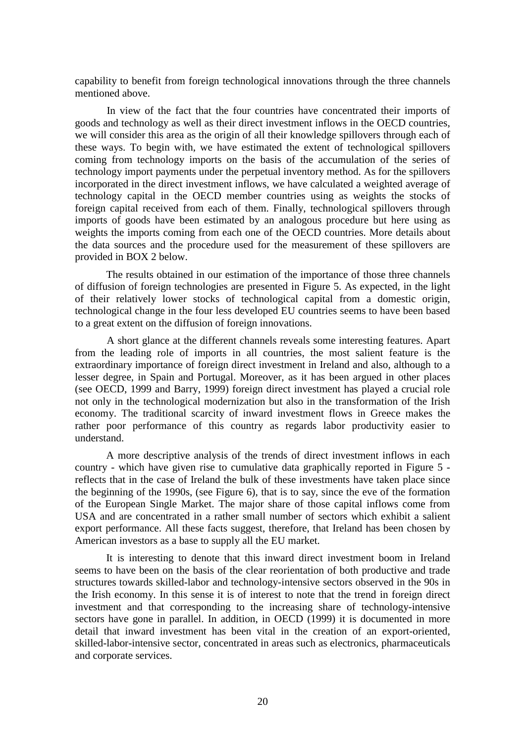capability to benefit from foreign technological innovations through the three channels mentioned above.

 In view of the fact that the four countries have concentrated their imports of goods and technology as well as their direct investment inflows in the OECD countries, we will consider this area as the origin of all their knowledge spillovers through each of these ways. To begin with, we have estimated the extent of technological spillovers coming from technology imports on the basis of the accumulation of the series of technology import payments under the perpetual inventory method. As for the spillovers incorporated in the direct investment inflows, we have calculated a weighted average of technology capital in the OECD member countries using as weights the stocks of foreign capital received from each of them. Finally, technological spillovers through imports of goods have been estimated by an analogous procedure but here using as weights the imports coming from each one of the OECD countries. More details about the data sources and the procedure used for the measurement of these spillovers are provided in BOX 2 below.

The results obtained in our estimation of the importance of those three channels of diffusion of foreign technologies are presented in Figure 5. As expected, in the light of their relatively lower stocks of technological capital from a domestic origin, technological change in the four less developed EU countries seems to have been based to a great extent on the diffusion of foreign innovations.

 A short glance at the different channels reveals some interesting features. Apart from the leading role of imports in all countries, the most salient feature is the extraordinary importance of foreign direct investment in Ireland and also, although to a lesser degree, in Spain and Portugal. Moreover, as it has been argued in other places (see OECD, 1999 and Barry, 1999) foreign direct investment has played a crucial role not only in the technological modernization but also in the transformation of the Irish economy. The traditional scarcity of inward investment flows in Greece makes the rather poor performance of this country as regards labor productivity easier to understand.

A more descriptive analysis of the trends of direct investment inflows in each country - which have given rise to cumulative data graphically reported in Figure 5 reflects that in the case of Ireland the bulk of these investments have taken place since the beginning of the 1990s, (see Figure 6), that is to say, since the eve of the formation of the European Single Market. The major share of those capital inflows come from USA and are concentrated in a rather small number of sectors which exhibit a salient export performance. All these facts suggest, therefore, that Ireland has been chosen by American investors as a base to supply all the EU market.

It is interesting to denote that this inward direct investment boom in Ireland seems to have been on the basis of the clear reorientation of both productive and trade structures towards skilled-labor and technology-intensive sectors observed in the 90s in the Irish economy. In this sense it is of interest to note that the trend in foreign direct investment and that corresponding to the increasing share of technology-intensive sectors have gone in parallel. In addition, in OECD (1999) it is documented in more detail that inward investment has been vital in the creation of an export-oriented, skilled-labor-intensive sector, concentrated in areas such as electronics, pharmaceuticals and corporate services.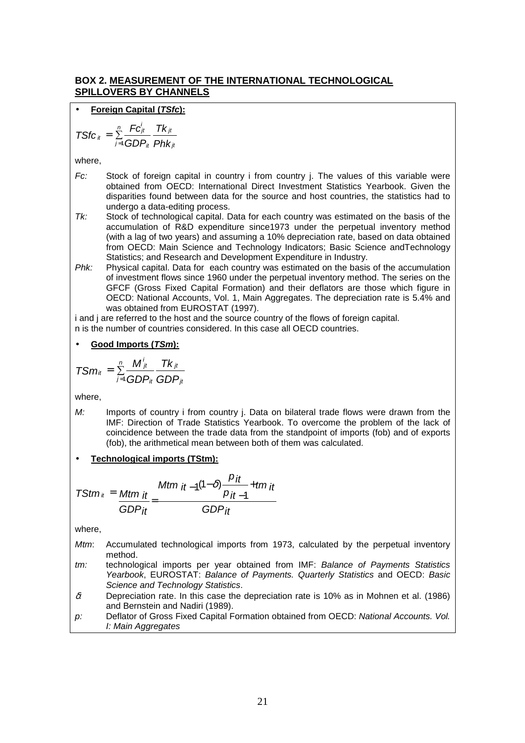#### **BOX 2. MEASUREMENT OF THE INTERNATIONAL TECHNOLOGICAL SPILLOVERS BY CHANNELS**

#### • **Foreign Capital (TSfc):**

$$
\textit{TStc}_{it} = \sum_{j=1}^{n} \frac{\textit{Fc}_{jt}^i}{\textit{GDP}_{it}} \frac{\textit{Tk}_{jt}}{\textit{Phk}_{jt}}
$$

where,

- $Fc$  Stock of foreign capital in country i from country i. The values of this variable were obtained from OECD: International Direct Investment Statistics Yearbook. Given the disparities found between data for the source and host countries, the statistics had to undergo a data-editing process.
- Tk: Stock of technological capital. Data for each country was estimated on the basis of the accumulation of R&D expenditure since1973 under the perpetual inventory method (with a lag of two years) and assuming a 10% depreciation rate, based on data obtained from OECD: Main Science and Technology Indicators; Basic Science andTechnology Statistics; and Research and Development Expenditure in Industry.
- Phk: Physical capital. Data for each country was estimated on the basis of the accumulation of investment flows since 1960 under the perpetual inventory method. The series on the GFCF (Gross Fixed Capital Formation) and their deflators are those which figure in OECD: National Accounts, Vol. 1, Main Aggregates. The depreciation rate is 5.4% and was obtained from EUROSTAT (1997).

i and j are referred to the host and the source country of the flows of foreign capital. n is the number of countries considered. In this case all OECD countries.

• **Good Imports (TSm):**

$$
TSm_{it} = \sum_{j=1}^{n} \frac{M_{it}^{i}}{GDP_{it}} \frac{Tk_{it}}{GDP_{it}}
$$

where,

- M: Imports of country i from country j. Data on bilateral trade flows were drawn from the IMF: Direction of Trade Statistics Yearbook. To overcome the problem of the lack of coincidence between the trade data from the standpoint of imports (fob) and of exports (fob), the arithmetical mean between both of them was calculated.
- **Technological imports (TStm):**

$$
\mathsf{TStm}_H = \underbrace{\mathsf{Mtm}_{it}}_{\mathsf{GDP}_{it}} = \frac{\mathsf{Mtm}_{it-1}(1-\delta)\frac{\mathsf{P}_{it}}{\mathsf{P}_{it-1}} + \mathsf{tm}_{it}}{\mathsf{GDP}_{it}}
$$

where,

- Mtm: Accumulated technological imports from 1973, calculated by the perpetual inventory method.
- tm: technological imports per year obtained from IMF: Balance of Payments Statistics Yearbook, EUROSTAT: Balance of Payments. Quarterly Statistics and OECD: Basic Science and Technology Statistics.
- $\delta$ : Depreciation rate. In this case the depreciation rate is 10% as in Mohnen et al. (1986) and Bernstein and Nadiri (1989).
- p: Deflator of Gross Fixed Capital Formation obtained from OECD: National Accounts. Vol. I: Main Aggregates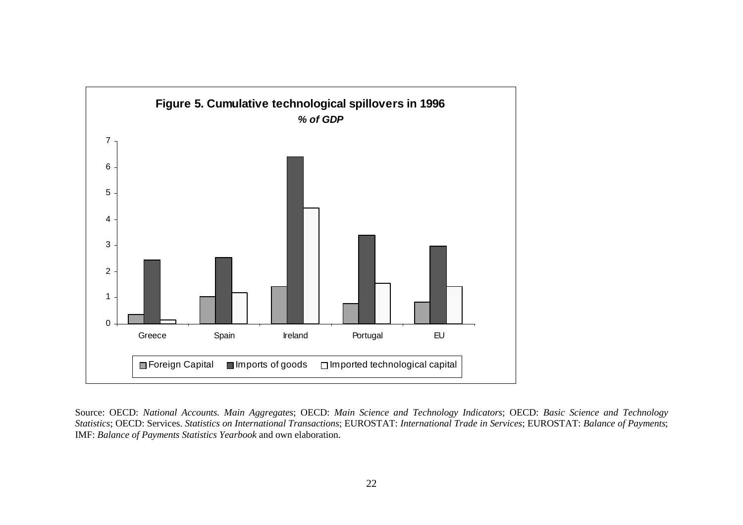

Source: OECD: *National Accounts. Main Aggregates*; OECD: *Main Science and Technology Indicators*; OECD: *Basic Science and Technology Statistics*; OECD: Services. *Statistics on International Transactions*; EUROSTAT: *International Trade in Services*; EUROSTAT: *Balance of Payments*; IMF: *Balance of Payments Statistics Yearbook* and own elaboration.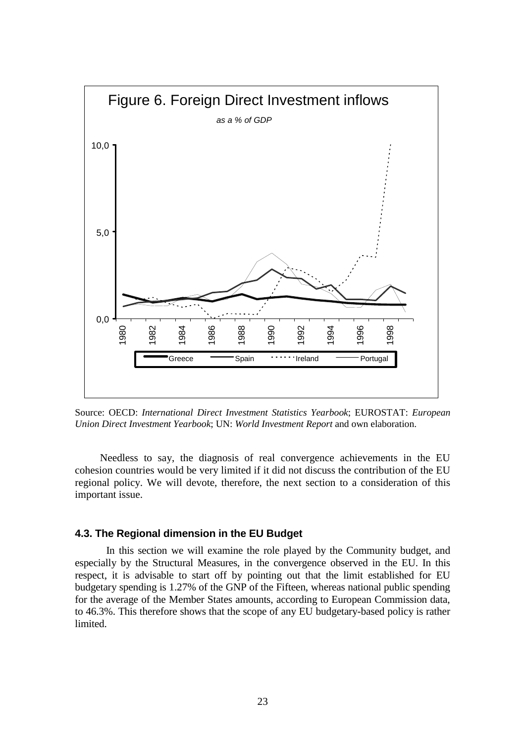

Source: OECD: *International Direct Investment Statistics Yearbook*; EUROSTAT: *European Union Direct Investment Yearbook*; UN: *World Investment Report* and own elaboration.

 Needless to say, the diagnosis of real convergence achievements in the EU cohesion countries would be very limited if it did not discuss the contribution of the EU regional policy. We will devote, therefore, the next section to a consideration of this important issue.

#### **4.3. The Regional dimension in the EU Budget**

 In this section we will examine the role played by the Community budget, and especially by the Structural Measures, in the convergence observed in the EU. In this respect, it is advisable to start off by pointing out that the limit established for EU budgetary spending is 1.27% of the GNP of the Fifteen, whereas national public spending for the average of the Member States amounts, according to European Commission data, to 46.3%. This therefore shows that the scope of any EU budgetary-based policy is rather limited.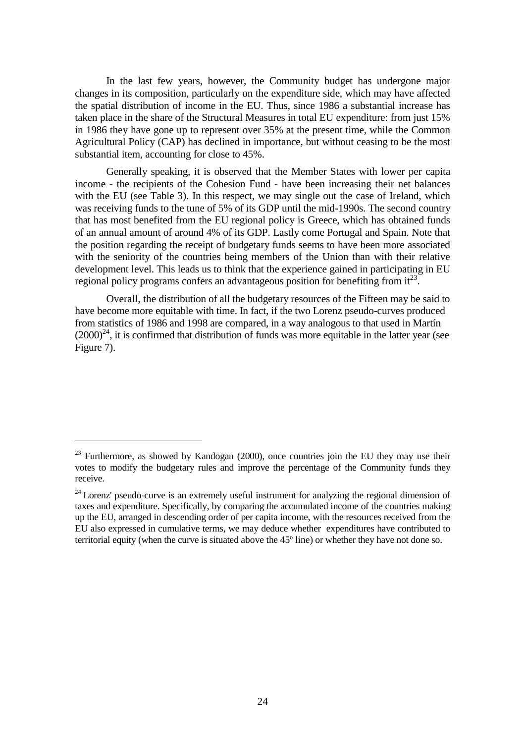In the last few years, however, the Community budget has undergone major changes in its composition, particularly on the expenditure side, which may have affected the spatial distribution of income in the EU. Thus, since 1986 a substantial increase has taken place in the share of the Structural Measures in total EU expenditure: from just 15% in 1986 they have gone up to represent over 35% at the present time, while the Common Agricultural Policy (CAP) has declined in importance, but without ceasing to be the most substantial item, accounting for close to 45%.

 Generally speaking, it is observed that the Member States with lower per capita income - the recipients of the Cohesion Fund - have been increasing their net balances with the EU (see Table 3). In this respect, we may single out the case of Ireland, which was receiving funds to the tune of 5% of its GDP until the mid-1990s. The second country that has most benefited from the EU regional policy is Greece, which has obtained funds of an annual amount of around 4% of its GDP. Lastly come Portugal and Spain. Note that the position regarding the receipt of budgetary funds seems to have been more associated with the seniority of the countries being members of the Union than with their relative development level. This leads us to think that the experience gained in participating in EU regional policy programs confers an advantageous position for benefiting from  $it^{23}$ .

 Overall, the distribution of all the budgetary resources of the Fifteen may be said to have become more equitable with time. In fact, if the two Lorenz pseudo-curves produced from statistics of 1986 and 1998 are compared, in a way analogous to that used in Martín  $(2000)^{24}$ , it is confirmed that distribution of funds was more equitable in the latter year (see Figure 7).

 $^{23}$  Furthermore, as showed by Kandogan (2000), once countries join the EU they may use their votes to modify the budgetary rules and improve the percentage of the Community funds they receive.

 $24$  Lorenz' pseudo-curve is an extremely useful instrument for analyzing the regional dimension of taxes and expenditure. Specifically, by comparing the accumulated income of the countries making up the EU, arranged in descending order of per capita income, with the resources received from the EU also expressed in cumulative terms, we may deduce whether expenditures have contributed to territorial equity (when the curve is situated above the 45º line) or whether they have not done so.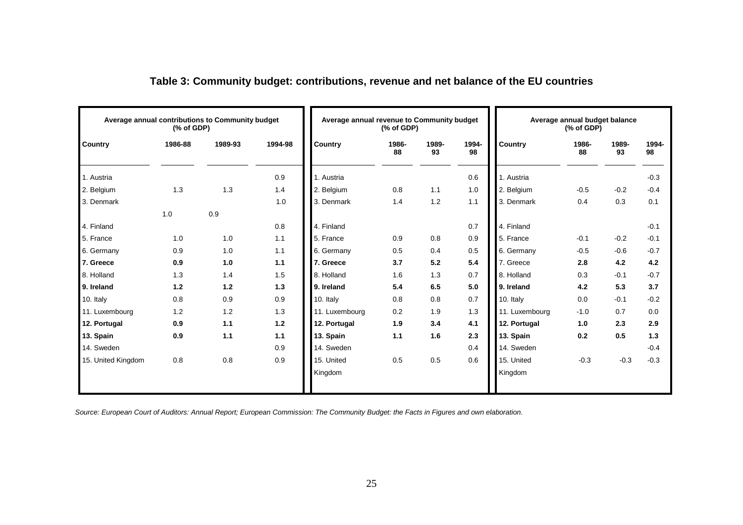|                    | (% of GDP) | Average annual contributions to Community budget |         | Average annual revenue to Community budget | (% of GDP)  |             |             |                | Average annual budget balance<br>(% of GDP) |             |             |
|--------------------|------------|--------------------------------------------------|---------|--------------------------------------------|-------------|-------------|-------------|----------------|---------------------------------------------|-------------|-------------|
| Country            | 1986-88    | 1989-93                                          | 1994-98 | Country                                    | 1986-<br>88 | 1989-<br>93 | 1994-<br>98 | Country        | 1986-<br>88                                 | 1989-<br>93 | 1994-<br>98 |
| 1. Austria         |            |                                                  | 0.9     | 1. Austria                                 |             |             | 0.6         | 1. Austria     |                                             |             | $-0.3$      |
| 2. Belgium         | 1.3        | 1.3                                              | 1.4     | 2. Belgium                                 | 0.8         | 1.1         | 1.0         | 2. Belgium     | $-0.5$                                      | $-0.2$      | $-0.4$      |
| 3. Denmark         |            |                                                  | 1.0     | 3. Denmark                                 | 1.4         | 1.2         | 1.1         | 3. Denmark     | 0.4                                         | 0.3         | 0.1         |
|                    | 1.0        | 0.9                                              |         |                                            |             |             |             |                |                                             |             |             |
| 4. Finland         |            |                                                  | 0.8     | 4. Finland                                 |             |             | 0.7         | 4. Finland     |                                             |             | $-0.1$      |
| 5. France          | 1.0        | 1.0                                              | 1.1     | 5. France                                  | 0.9         | 0.8         | 0.9         | 5. France      | $-0.1$                                      | $-0.2$      | $-0.1$      |
| 6. Germany         | 0.9        | 1.0                                              | 1.1     | 6. Germany                                 | 0.5         | 0.4         | 0.5         | 6. Germany     | $-0.5$                                      | $-0.6$      | $-0.7$      |
| 7. Greece          | 0.9        | 1.0                                              | 1.1     | 7. Greece                                  | 3.7         | 5.2         | 5.4         | 7. Greece      | 2.8                                         | 4.2         | 4.2         |
| 8. Holland         | 1.3        | 1.4                                              | 1.5     | 8. Holland                                 | 1.6         | 1.3         | 0.7         | 8. Holland     | 0.3                                         | $-0.1$      | $-0.7$      |
| 9. Ireland         | $1.2$      | 1.2                                              | 1.3     | 9. Ireland                                 | 5.4         | 6.5         | 5.0         | 9. Ireland     | 4.2                                         | 5.3         | 3.7         |
| 10. Italy          | 0.8        | 0.9                                              | 0.9     | 10. Italy                                  | 0.8         | 0.8         | 0.7         | 10. Italy      | 0.0                                         | $-0.1$      | $-0.2$      |
| 11. Luxembourg     | 1.2        | 1.2                                              | 1.3     | 11. Luxembourg                             | 0.2         | 1.9         | 1.3         | 11. Luxembourg | $-1.0$                                      | 0.7         | 0.0         |
| 12. Portugal       | 0.9        | 1.1                                              | $1.2$   | 12. Portugal                               | 1.9         | 3.4         | 4.1         | 12. Portugal   | 1.0                                         | 2.3         | 2.9         |
| 13. Spain          | 0.9        | 1.1                                              | 1.1     | 13. Spain                                  | $1.1$       | 1.6         | 2.3         | 13. Spain      | 0.2                                         | 0.5         | 1.3         |
| 14. Sweden         |            |                                                  | 0.9     | 14. Sweden                                 |             |             | 0.4         | 14. Sweden     |                                             |             | $-0.4$      |
| 15. United Kingdom | 0.8        | 0.8                                              | 0.9     | 15. United                                 | 0.5         | 0.5         | 0.6         | 15. United     | $-0.3$                                      | $-0.3$      | $-0.3$      |
|                    |            |                                                  |         | Kingdom                                    |             |             |             | Kingdom        |                                             |             |             |

# **Table 3: Community budget: contributions, revenue and net balance of the EU countries**

Source: European Court of Auditors: Annual Report; European Commission: The Community Budget: the Facts in Figures and own elaboration.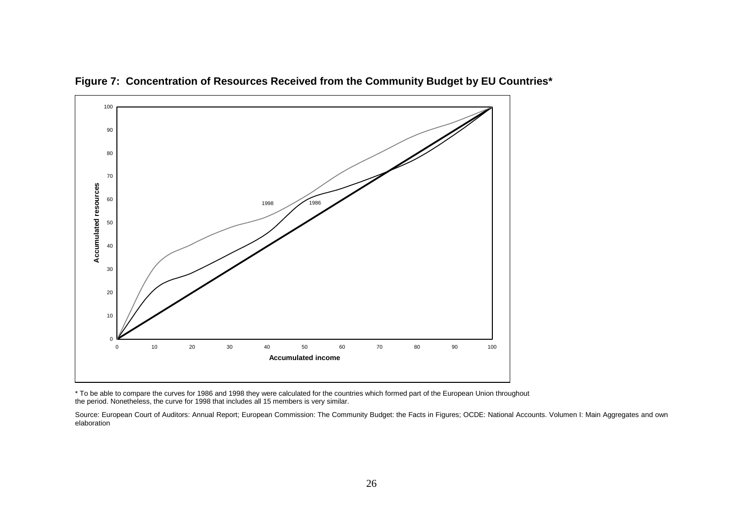

**Figure 7: Concentration of Resources Received from the Community Budget by EU Countries\*** 

\* To be able to compare the curves for 1986 and 1998 they were calculated for the countries which formed part of the European Union throughout the period. Nonetheless, the curve for 1998 that includes all 15 members is very similar.

Source: European Court of Auditors: Annual Report; European Commission: The Community Budget: the Facts in Figures; OCDE: National Accounts. Volumen I: Main Aggregates and own elaboration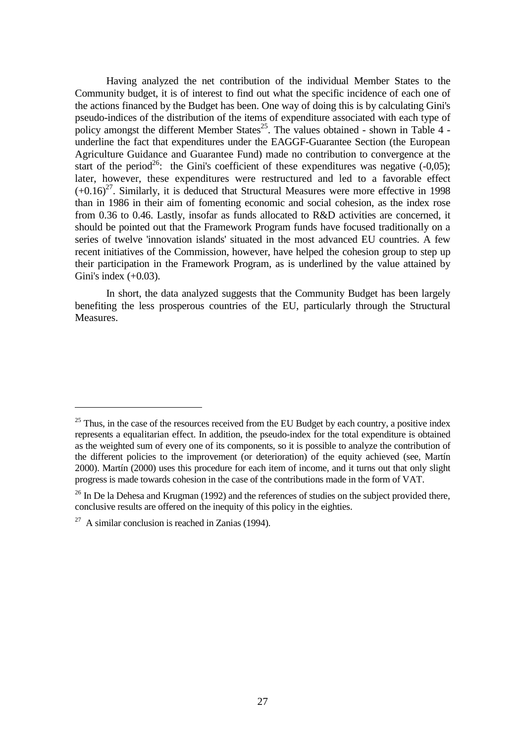Having analyzed the net contribution of the individual Member States to the Community budget, it is of interest to find out what the specific incidence of each one of the actions financed by the Budget has been. One way of doing this is by calculating Gini's pseudo-indices of the distribution of the items of expenditure associated with each type of policy amongst the different Member States<sup>25</sup>. The values obtained - shown in Table 4 underline the fact that expenditures under the EAGGF-Guarantee Section (the European Agriculture Guidance and Guarantee Fund) made no contribution to convergence at the start of the period<sup>26</sup>: the Gini's coefficient of these expenditures was negative  $(-0.05)$ ; later, however, these expenditures were restructured and led to a favorable effect  $(+0.16)^{27}$ . Similarly, it is deduced that Structural Measures were more effective in 1998 than in 1986 in their aim of fomenting economic and social cohesion, as the index rose from 0.36 to 0.46. Lastly, insofar as funds allocated to R&D activities are concerned, it should be pointed out that the Framework Program funds have focused traditionally on a series of twelve 'innovation islands' situated in the most advanced EU countries. A few recent initiatives of the Commission, however, have helped the cohesion group to step up their participation in the Framework Program, as is underlined by the value attained by Gini's index  $(+0.03)$ .

 In short, the data analyzed suggests that the Community Budget has been largely benefiting the less prosperous countries of the EU, particularly through the Structural Measures.

 $25$  Thus, in the case of the resources received from the EU Budget by each country, a positive index represents a equalitarian effect. In addition, the pseudo-index for the total expenditure is obtained as the weighted sum of every one of its components, so it is possible to analyze the contribution of the different policies to the improvement (or deterioration) of the equity achieved (see, Martín 2000). Martín (2000) uses this procedure for each item of income, and it turns out that only slight progress is made towards cohesion in the case of the contributions made in the form of VAT.

 $^{26}$  In De la Dehesa and Krugman (1992) and the references of studies on the subject provided there, conclusive results are offered on the inequity of this policy in the eighties.

 $27$  A similar conclusion is reached in Zanias (1994).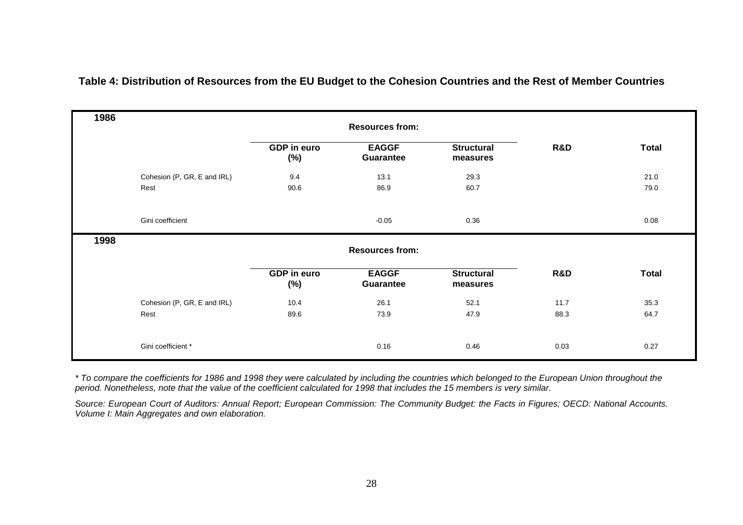|      |                             |                       | <b>Resources from:</b>           |                               |                |                      |
|------|-----------------------------|-----------------------|----------------------------------|-------------------------------|----------------|----------------------|
|      |                             | GDP in euro<br>$(\%)$ | <b>EAGGF</b><br><b>Guarantee</b> | <b>Structural</b><br>measures | R&D            | <b>Total</b>         |
|      | Cohesion (P, GR, E and IRL) | 9.4                   | 13.1                             | 29.3                          |                | 21.0                 |
|      | Rest                        | 90.6                  | 86.9                             | 60.7                          |                | 79.0                 |
|      | Gini coefficient            |                       | $-0.05$                          | 0.36                          |                | 0.08                 |
| 1998 |                             |                       |                                  |                               |                |                      |
|      |                             |                       | <b>Resources from:</b>           |                               |                |                      |
|      |                             | GDP in euro<br>$(\%)$ | <b>EAGGF</b><br><b>Guarantee</b> | <b>Structural</b><br>measures | <b>R&amp;D</b> |                      |
|      | Cohesion (P, GR, E and IRL) | 10.4                  | 26.1                             | 52.1                          | 11.7           | <b>Total</b><br>35.3 |
|      | Rest                        | 89.6                  | 73.9                             | 47.9                          | 88.3           | 64.7                 |

**Table 4: Distribution of Resources from the EU Budget to the Cohesion Countries and the Rest of Member Countries** 

\* To compare the coefficients for 1986 and 1998 they were calculated by including the countries which belonged to the European Union throughout the period. Nonetheless, note that the value of the coefficient calculated for 1998 that includes the 15 members is very similar.

Source: European Court of Auditors: Annual Report; European Commission: The Community Budget: the Facts in Figures; OECD: National Accounts. Volume I: Main Aggregates and own elaboration.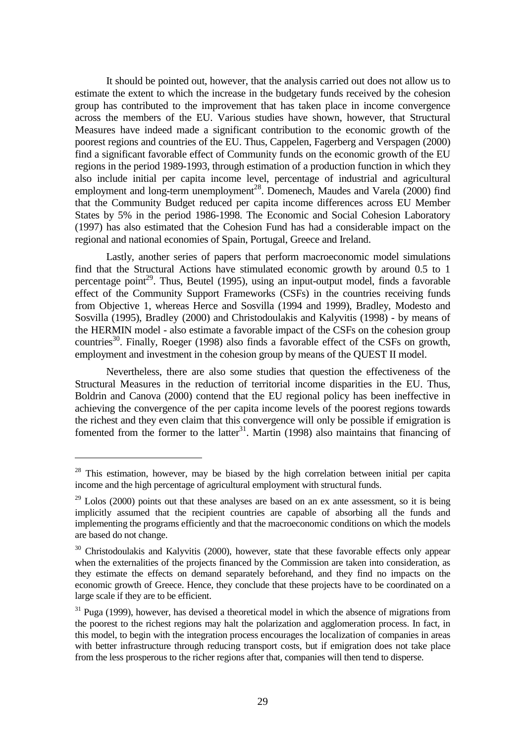It should be pointed out, however, that the analysis carried out does not allow us to estimate the extent to which the increase in the budgetary funds received by the cohesion group has contributed to the improvement that has taken place in income convergence across the members of the EU. Various studies have shown, however, that Structural Measures have indeed made a significant contribution to the economic growth of the poorest regions and countries of the EU. Thus, Cappelen, Fagerberg and Verspagen (2000) find a significant favorable effect of Community funds on the economic growth of the EU regions in the period 1989-1993, through estimation of a production function in which they also include initial per capita income level, percentage of industrial and agricultural employment and long-term unemployment<sup>28</sup>. Domenech, Maudes and Varela (2000) find that the Community Budget reduced per capita income differences across EU Member States by 5% in the period 1986-1998. The Economic and Social Cohesion Laboratory (1997) has also estimated that the Cohesion Fund has had a considerable impact on the regional and national economies of Spain, Portugal, Greece and Ireland.

 Lastly, another series of papers that perform macroeconomic model simulations find that the Structural Actions have stimulated economic growth by around 0.5 to 1 percentage point<sup>29</sup>. Thus, Beutel (1995), using an input-output model, finds a favorable effect of the Community Support Frameworks (CSFs) in the countries receiving funds from Objective 1, whereas Herce and Sosvilla (1994 and 1999), Bradley, Modesto and Sosvilla (1995), Bradley (2000) and Christodoulakis and Kalyvitis (1998) - by means of the HERMIN model - also estimate a favorable impact of the CSFs on the cohesion group countries<sup>30</sup>. Finally, Roeger (1998) also finds a favorable effect of the CSFs on growth, employment and investment in the cohesion group by means of the QUEST II model.

 Nevertheless, there are also some studies that question the effectiveness of the Structural Measures in the reduction of territorial income disparities in the EU. Thus, Boldrin and Canova (2000) contend that the EU regional policy has been ineffective in achieving the convergence of the per capita income levels of the poorest regions towards the richest and they even claim that this convergence will only be possible if emigration is fomented from the former to the latter<sup>31</sup>. Martin (1998) also maintains that financing of

 $28$  This estimation, however, may be biased by the high correlation between initial per capita income and the high percentage of agricultural employment with structural funds.

 $29$  Lolos (2000) points out that these analyses are based on an ex ante assessment, so it is being implicitly assumed that the recipient countries are capable of absorbing all the funds and implementing the programs efficiently and that the macroeconomic conditions on which the models are based do not change.

<sup>&</sup>lt;sup>30</sup> Christodoulakis and Kalyvitis (2000), however, state that these favorable effects only appear when the externalities of the projects financed by the Commission are taken into consideration, as they estimate the effects on demand separately beforehand, and they find no impacts on the economic growth of Greece. Hence, they conclude that these projects have to be coordinated on a large scale if they are to be efficient.

 $31$  Puga (1999), however, has devised a theoretical model in which the absence of migrations from the poorest to the richest regions may halt the polarization and agglomeration process. In fact, in this model, to begin with the integration process encourages the localization of companies in areas with better infrastructure through reducing transport costs, but if emigration does not take place from the less prosperous to the richer regions after that, companies will then tend to disperse.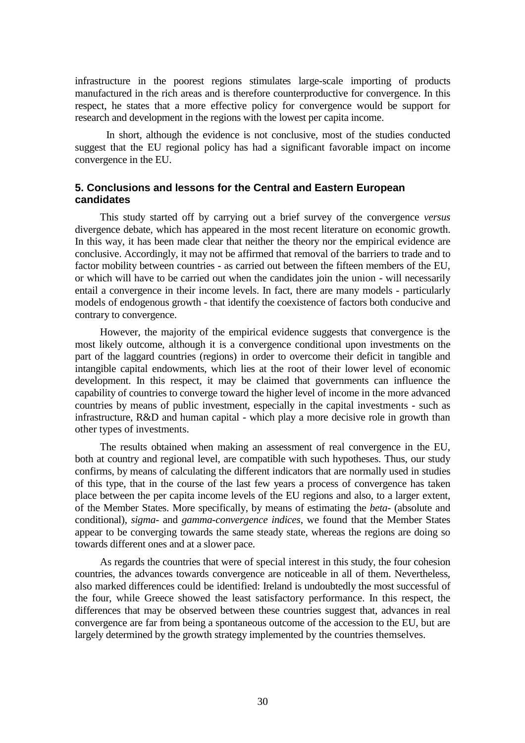infrastructure in the poorest regions stimulates large-scale importing of products manufactured in the rich areas and is therefore counterproductive for convergence. In this respect, he states that a more effective policy for convergence would be support for research and development in the regions with the lowest per capita income.

 In short, although the evidence is not conclusive, most of the studies conducted suggest that the EU regional policy has had a significant favorable impact on income convergence in the EU.

## **5. Conclusions and lessons for the Central and Eastern European candidates**

 This study started off by carrying out a brief survey of the convergence *versus* divergence debate, which has appeared in the most recent literature on economic growth. In this way, it has been made clear that neither the theory nor the empirical evidence are conclusive. Accordingly, it may not be affirmed that removal of the barriers to trade and to factor mobility between countries - as carried out between the fifteen members of the EU, or which will have to be carried out when the candidates join the union - will necessarily entail a convergence in their income levels. In fact, there are many models - particularly models of endogenous growth - that identify the coexistence of factors both conducive and contrary to convergence.

 However, the majority of the empirical evidence suggests that convergence is the most likely outcome, although it is a convergence conditional upon investments on the part of the laggard countries (regions) in order to overcome their deficit in tangible and intangible capital endowments, which lies at the root of their lower level of economic development. In this respect, it may be claimed that governments can influence the capability of countries to converge toward the higher level of income in the more advanced countries by means of public investment, especially in the capital investments - such as infrastructure, R&D and human capital - which play a more decisive role in growth than other types of investments.

 The results obtained when making an assessment of real convergence in the EU, both at country and regional level, are compatible with such hypotheses. Thus, our study confirms, by means of calculating the different indicators that are normally used in studies of this type, that in the course of the last few years a process of convergence has taken place between the per capita income levels of the EU regions and also, to a larger extent, of the Member States. More specifically, by means of estimating the *beta*- (absolute and conditional), *sigma-* and *gamma-convergence indices*, we found that the Member States appear to be converging towards the same steady state, whereas the regions are doing so towards different ones and at a slower pace.

 As regards the countries that were of special interest in this study, the four cohesion countries, the advances towards convergence are noticeable in all of them. Nevertheless, also marked differences could be identified: Ireland is undoubtedly the most successful of the four, while Greece showed the least satisfactory performance. In this respect, the differences that may be observed between these countries suggest that, advances in real convergence are far from being a spontaneous outcome of the accession to the EU, but are largely determined by the growth strategy implemented by the countries themselves.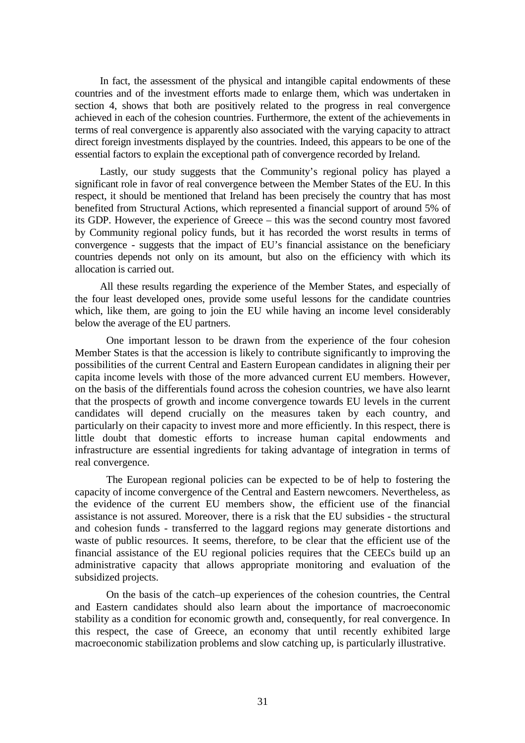In fact, the assessment of the physical and intangible capital endowments of these countries and of the investment efforts made to enlarge them, which was undertaken in section 4, shows that both are positively related to the progress in real convergence achieved in each of the cohesion countries. Furthermore, the extent of the achievements in terms of real convergence is apparently also associated with the varying capacity to attract direct foreign investments displayed by the countries. Indeed, this appears to be one of the essential factors to explain the exceptional path of convergence recorded by Ireland.

 Lastly, our study suggests that the Community's regional policy has played a significant role in favor of real convergence between the Member States of the EU. In this respect, it should be mentioned that Ireland has been precisely the country that has most benefited from Structural Actions, which represented a financial support of around 5% of its GDP. However, the experience of Greece – this was the second country most favored by Community regional policy funds, but it has recorded the worst results in terms of convergence - suggests that the impact of EU's financial assistance on the beneficiary countries depends not only on its amount, but also on the efficiency with which its allocation is carried out.

 All these results regarding the experience of the Member States, and especially of the four least developed ones, provide some useful lessons for the candidate countries which, like them, are going to join the EU while having an income level considerably below the average of the EU partners.

One important lesson to be drawn from the experience of the four cohesion Member States is that the accession is likely to contribute significantly to improving the possibilities of the current Central and Eastern European candidates in aligning their per capita income levels with those of the more advanced current EU members. However, on the basis of the differentials found across the cohesion countries, we have also learnt that the prospects of growth and income convergence towards EU levels in the current candidates will depend crucially on the measures taken by each country, and particularly on their capacity to invest more and more efficiently. In this respect, there is little doubt that domestic efforts to increase human capital endowments and infrastructure are essential ingredients for taking advantage of integration in terms of real convergence.

The European regional policies can be expected to be of help to fostering the capacity of income convergence of the Central and Eastern newcomers. Nevertheless, as the evidence of the current EU members show, the efficient use of the financial assistance is not assured. Moreover, there is a risk that the EU subsidies - the structural and cohesion funds - transferred to the laggard regions may generate distortions and waste of public resources. It seems, therefore, to be clear that the efficient use of the financial assistance of the EU regional policies requires that the CEECs build up an administrative capacity that allows appropriate monitoring and evaluation of the subsidized projects.

On the basis of the catch–up experiences of the cohesion countries, the Central and Eastern candidates should also learn about the importance of macroeconomic stability as a condition for economic growth and, consequently, for real convergence. In this respect, the case of Greece, an economy that until recently exhibited large macroeconomic stabilization problems and slow catching up, is particularly illustrative.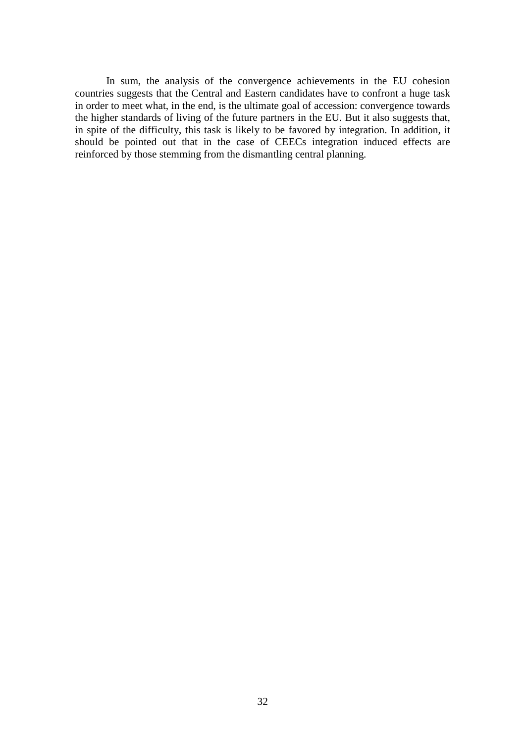In sum, the analysis of the convergence achievements in the EU cohesion countries suggests that the Central and Eastern candidates have to confront a huge task in order to meet what, in the end, is the ultimate goal of accession: convergence towards the higher standards of living of the future partners in the EU. But it also suggests that, in spite of the difficulty, this task is likely to be favored by integration. In addition, it should be pointed out that in the case of CEECs integration induced effects are reinforced by those stemming from the dismantling central planning.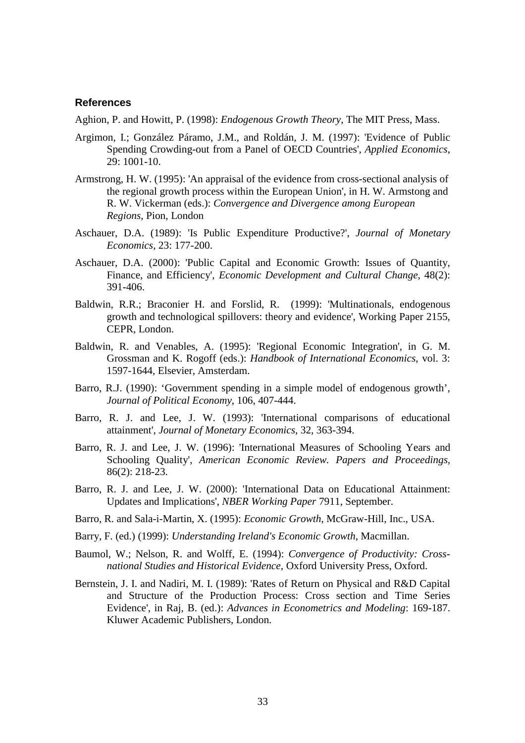#### **References**

Aghion, P. and Howitt, P. (1998): *Endogenous Growth Theory*, The MIT Press, Mass.

- Argimon, I.; González Páramo, J.M., and Roldán, J. M. (1997): 'Evidence of Public Spending Crowding-out from a Panel of OECD Countries', *Applied Economics*, 29: 1001-10.
- Armstrong, H. W. (1995): 'An appraisal of the evidence from cross-sectional analysis of the regional growth process within the European Union', in H. W. Armstong and R. W. Vickerman (eds.): *Convergence and Divergence among European Regions*, Pion, London
- Aschauer, D.A. (1989): 'Is Public Expenditure Productive?', *Journal of Monetary Economics*, 23: 177-200.
- Aschauer, D.A. (2000): 'Public Capital and Economic Growth: Issues of Quantity, Finance, and Efficiency', *Economic Development and Cultural Change*, 48(2): 391-406.
- Baldwin, R.R.; Braconier H. and Forslid, R. (1999): 'Multinationals, endogenous growth and technological spillovers: theory and evidence', Working Paper 2155, CEPR, London.
- Baldwin, R. and Venables, A. (1995): 'Regional Economic Integration', in G. M. Grossman and K. Rogoff (eds.): *Handbook of International Economics*, vol. 3: 1597-1644, Elsevier, Amsterdam.
- Barro, R.J. (1990): 'Government spending in a simple model of endogenous growth', *Journal of Political Economy*, 106, 407-444.
- Barro, R. J. and Lee, J. W. (1993): 'International comparisons of educational attainment', *Journal of Monetary Economics*, 32, 363-394.
- Barro, R. J. and Lee, J. W. (1996): 'International Measures of Schooling Years and Schooling Quality', *American Economic Review. Papers and Proceedings*, 86(2): 218-23.
- Barro, R. J. and Lee, J. W. (2000): 'International Data on Educational Attainment: Updates and Implications', *NBER Working Paper* 7911, September.
- Barro, R. and Sala-i-Martin, X. (1995): *Economic Growth*, McGraw-Hill, Inc., USA.
- Barry, F. (ed.) (1999): *Understanding Ireland's Economic Growth*, Macmillan.
- Baumol, W.; Nelson, R. and Wolff, E. (1994): *Convergence of Productivity: Crossnational Studies and Historical Evidence*, Oxford University Press, Oxford.
- Bernstein, J. I. and Nadiri, M. I. (1989): 'Rates of Return on Physical and R&D Capital and Structure of the Production Process: Cross section and Time Series Evidence', in Raj, B. (ed.): *Advances in Econometrics and Modeling*: 169-187. Kluwer Academic Publishers, London.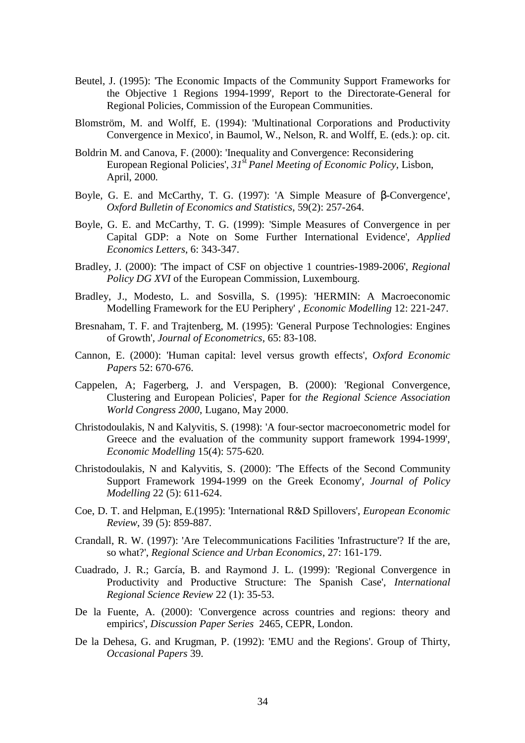- Beutel, J. (1995): 'The Economic Impacts of the Community Support Frameworks for the Objective 1 Regions 1994-1999'*,* Report to the Directorate-General for Regional Policies, Commission of the European Communities.
- Blomström, M. and Wolff, E. (1994): 'Multinational Corporations and Productivity Convergence in Mexico', in Baumol, W., Nelson, R. and Wolff, E. (eds.): op. cit.
- Boldrin M. and Canova, F. (2000): 'Inequality and Convergence: Reconsidering European Regional Policies', *31*st *Panel Meeting of Economic Policy*, Lisbon, April, 2000*.*
- Boyle, G. E. and McCarthy, T. G. (1997): 'A Simple Measure of β-Convergence', *Oxford Bulletin of Economics and Statistics*, 59(2): 257-264.
- Boyle, G. E. and McCarthy, T. G. (1999): 'Simple Measures of Convergence in per Capital GDP: a Note on Some Further International Evidence', *Applied Economics Letters*, 6: 343-347.
- Bradley, J. (2000): 'The impact of CSF on objective 1 countries-1989-2006', *Regional Policy DG XVI* of the European Commission, Luxembourg.
- Bradley, J., Modesto, L. and Sosvilla, S. (1995): 'HERMIN: A Macroeconomic Modelling Framework for the EU Periphery' , *Economic Modelling* 12: 221-247.
- Bresnaham, T. F. and Trajtenberg, M. (1995): 'General Purpose Technologies: Engines of Growth', *Journal of Econometrics*, 65: 83-108.
- Cannon, E. (2000): 'Human capital: level versus growth effects', *Oxford Economic Papers* 52: 670-676.
- Cappelen, A; Fagerberg, J. and Verspagen, B. (2000): 'Regional Convergence, Clustering and European Policies', Paper for *the Regional Science Association World Congress 2000*, Lugano, May 2000.
- Christodoulakis, N and Kalyvitis, S. (1998): 'A four-sector macroeconometric model for Greece and the evaluation of the community support framework 1994-1999', *Economic Modelling* 15(4): 575-620*.*
- Christodoulakis, N and Kalyvitis, S. (2000): 'The Effects of the Second Community Support Framework 1994-1999 on the Greek Economy', *Journal of Policy Modelling* 22 (5): 611-624.
- Coe, D. T. and Helpman, E.(1995): 'International R&D Spillovers', *European Economic Review*, 39 (5): 859-887.
- Crandall, R. W. (1997): 'Are Telecommunications Facilities 'Infrastructure'? If the are, so what?', *Regional Science and Urban Economics*, 27: 161-179.
- Cuadrado, J. R.; García, B. and Raymond J. L. (1999): 'Regional Convergence in Productivity and Productive Structure: The Spanish Case', *International Regional Science Review* 22 (1): 35-53.
- De la Fuente, A. (2000): 'Convergence across countries and regions: theory and empirics', *Discussion Paper Series* 2465, CEPR, London.
- De la Dehesa, G. and Krugman, P. (1992): 'EMU and the Regions'. Group of Thirty, *Occasional Papers* 39.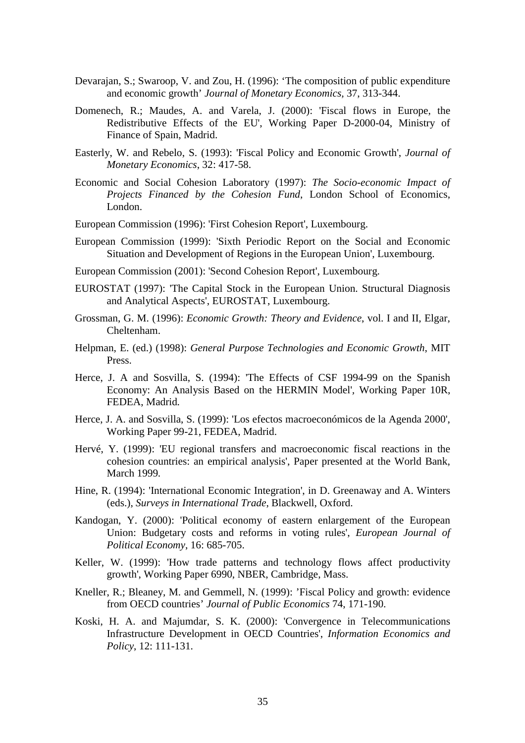- Devarajan, S.; Swaroop, V. and Zou, H. (1996): 'The composition of public expenditure and economic growth' *Journal of Monetary Economics,* 37, 313-344.
- Domenech, R.; Maudes, A. and Varela, J. (2000): 'Fiscal flows in Europe, the Redistributive Effects of the EU', Working Paper D-2000-04, Ministry of Finance of Spain, Madrid.
- Easterly, W. and Rebelo, S. (1993): 'Fiscal Policy and Economic Growth', *Journal of Monetary Economics*, 32: 417-58.
- Economic and Social Cohesion Laboratory (1997): *The Socio-economic Impact of Projects Financed by the Cohesion Fund*, London School of Economics, London.
- European Commission (1996): 'First Cohesion Report', Luxembourg.
- European Commission (1999): 'Sixth Periodic Report on the Social and Economic Situation and Development of Regions in the European Union', Luxembourg.
- European Commission (2001): 'Second Cohesion Report', Luxembourg.
- EUROSTAT (1997): 'The Capital Stock in the European Union. Structural Diagnosis and Analytical Aspects', EUROSTAT, Luxembourg.
- Grossman, G. M. (1996): *Economic Growth: Theory and Evidence*, vol. I and II, Elgar, Cheltenham.
- Helpman, E. (ed.) (1998): *General Purpose Technologies and Economic Growth*, MIT Press.
- Herce, J. A and Sosvilla, S. (1994): 'The Effects of CSF 1994-99 on the Spanish Economy: An Analysis Based on the HERMIN Model'*,* Working Paper 10R, FEDEA, Madrid*.*
- Herce, J. A. and Sosvilla, S. (1999): 'Los efectos macroeconómicos de la Agenda 2000', Working Paper 99-21, FEDEA, Madrid.
- Hervé, Y. (1999): 'EU regional transfers and macroeconomic fiscal reactions in the cohesion countries: an empirical analysis', Paper presented at the World Bank, March 1999*.*
- Hine, R. (1994): 'International Economic Integration', in D. Greenaway and A. Winters (eds.), *Surveys in International Trade*, Blackwell, Oxford.
- Kandogan, Y. (2000): 'Political economy of eastern enlargement of the European Union: Budgetary costs and reforms in voting rules', *European Journal of Political Economy*, 16: 685-705.
- Keller, W. (1999): 'How trade patterns and technology flows affect productivity growth', Working Paper 6990, NBER, Cambridge, Mass.
- Kneller, R.; Bleaney, M. and Gemmell, N. (1999): 'Fiscal Policy and growth: evidence from OECD countries' *Journal of Public Economics* 74, 171-190.
- Koski, H. A. and Majumdar, S. K. (2000): 'Convergence in Telecommunications Infrastructure Development in OECD Countries', *Information Economics and Policy*, 12: 111-131.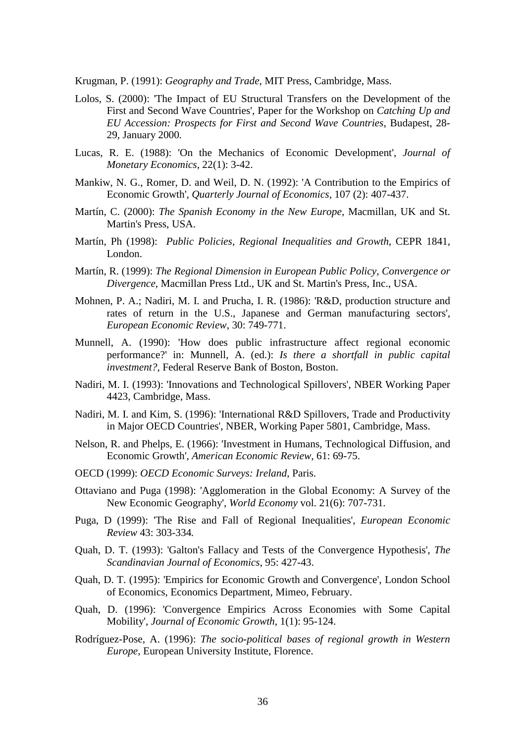Krugman, P. (1991): *Geography and Trade*, MIT Press, Cambridge, Mass.

- Lolos, S. (2000): 'The Impact of EU Structural Transfers on the Development of the First and Second Wave Countries', Paper for the Workshop on *Catching Up and EU Accession: Prospects for First and Second Wave Countries*, Budapest, 28- 29, January 2000*.*
- Lucas, R. E. (1988): 'On the Mechanics of Economic Development', *Journal of Monetary Economics*, 22(1): 3-42.
- Mankiw, N. G., Romer, D. and Weil, D. N. (1992): 'A Contribution to the Empirics of Economic Growth', *Quarterly Journal of Economics*, 107 (2): 407-437.
- Martín, C. (2000): *The Spanish Economy in the New Europe*, Macmillan, UK and St. Martin's Press, USA.
- Martín, Ph (1998): *Public Policies, Regional Inequalities and Growth*, CEPR 1841, London.
- Martín, R. (1999): *The Regional Dimension in European Public Policy, Convergence or Divergence*, Macmillan Press Ltd., UK and St. Martin's Press, Inc., USA.
- Mohnen, P. A.; Nadiri, M. I. and Prucha, I. R. (1986): 'R&D, production structure and rates of return in the U.S., Japanese and German manufacturing sectors', *European Economic Review*, 30: 749-771.
- Munnell, A. (1990): 'How does public infrastructure affect regional economic performance?' in: Munnell, A. (ed.): *Is there a shortfall in public capital investment?*, Federal Reserve Bank of Boston, Boston.
- Nadiri, M. I. (1993): 'Innovations and Technological Spillovers', NBER Working Paper 4423, Cambridge, Mass.
- Nadiri, M. I. and Kim, S. (1996): 'International R&D Spillovers, Trade and Productivity in Major OECD Countries', NBER, Working Paper 5801, Cambridge, Mass.
- Nelson, R. and Phelps, E. (1966): 'Investment in Humans, Technological Diffusion, and Economic Growth', *American Economic Review*, 61: 69-75.
- OECD (1999): *OECD Economic Surveys: Ireland*, Paris.
- Ottaviano and Puga (1998): 'Agglomeration in the Global Economy: A Survey of the New Economic Geography', *World Economy* vol. 21(6): 707-731.
- Puga, D (1999): 'The Rise and Fall of Regional Inequalities', *European Economic Review* 43: 303-334*.*
- Quah, D. T. (1993): 'Galton's Fallacy and Tests of the Convergence Hypothesis', *The Scandinavian Journal of Economics*, 95: 427-43.
- Quah, D. T. (1995): 'Empirics for Economic Growth and Convergence', London School of Economics, Economics Department, Mimeo, February.
- Quah, D. (1996): 'Convergence Empirics Across Economies with Some Capital Mobility', *Journal of Economic Growth*, 1(1): 95-124.
- Rodríguez-Pose, A. (1996): *The socio-political bases of regional growth in Western Europe,* European University Institute, Florence.